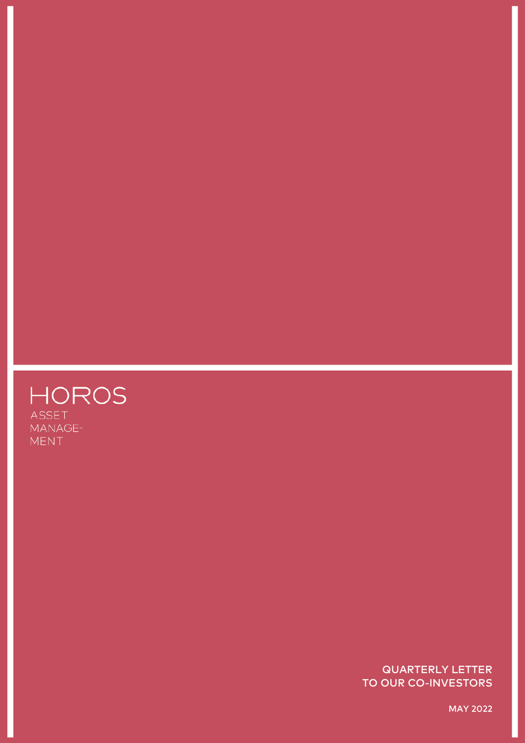

QUARTERLY LETTER TO OUR CO-INVESTORS

MAY 2022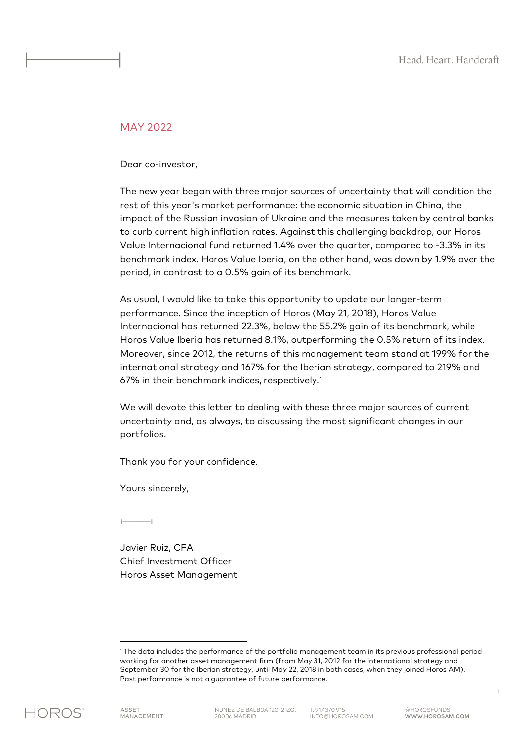### MAY 2022

Dear co-investor,

The new year began with three major sources of uncertainty that will condition the rest of this year's market performance: the economic situation in China, the impact of the Russian invasion of Ukraine and the measures taken by central banks to curb current high inflation rates. Against this challenging backdrop, our Horos Value Internacional fund returned 1.4% over the quarter, compared to -3.3% in its benchmark index. Horos Value Iberia, on the other hand, was down by 1.9% over the period, in contrast to a 0.5% gain of its benchmark.

As usual, I would like to take this opportunity to update our longer-term performance. Since the inception of Horos (May 21, 2018), Horos Value Internacional has returned 22.3%, below the 55.2% gain of its benchmark, while Horos Value Iberia has returned 8.1%, outperforming the 0.5% return of its index. Moreover, since 2012, the returns of this management team stand at 199% for the international strategy and 167% for the Iberian strategy, compared to 219% and 67% in their benchmark indices, respectively[.1](#page-1-0)

We will devote this letter to dealing with these three major sources of current uncertainty and, as always, to discussing the most significant changes in our portfolios.

Thank you for your confidence.

Yours sincerely,

ı———ı

Javier Ruiz, CFA Chief Investment Officer Horos Asset Management

<span id="page-1-0"></span>

<sup>1</sup> The data includes the performance of the portfolio management team in its previous professional period working for another asset management firm (from May 31, 2012 for the international strategy and September 30 for the Iberian strategy, until May 22, 2018 in both cases, when they joined Horos AM). Past performance is not a guarantee of future performance.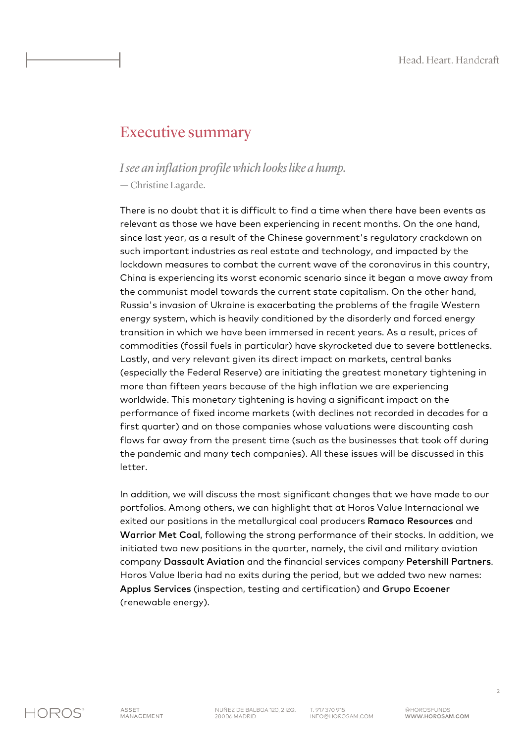## Executive summary

## *I see an inflation profile which looks like a hump.*

— Christine Lagarde.

There is no doubt that it is difficult to find a time when there have been events as relevant as those we have been experiencing in recent months. On the one hand, since last year, as a result of the Chinese government's regulatory crackdown on such important industries as real estate and technology, and impacted by the lockdown measures to combat the current wave of the coronavirus in this country, China is experiencing its worst economic scenario since it began a move away from the communist model towards the current state capitalism. On the other hand, Russia's invasion of Ukraine is exacerbating the problems of the fragile Western energy system, which is heavily conditioned by the disorderly and forced energy transition in which we have been immersed in recent years. As a result, prices of commodities (fossil fuels in particular) have skyrocketed due to severe bottlenecks. Lastly, and very relevant given its direct impact on markets, central banks (especially the Federal Reserve) are initiating the greatest monetary tightening in more than fifteen years because of the high inflation we are experiencing worldwide. This monetary tightening is having a significant impact on the performance of fixed income markets (with declines not recorded in decades for a first quarter) and on those companies whose valuations were discounting cash flows far away from the present time (such as the businesses that took off during the pandemic and many tech companies). All these issues will be discussed in this letter.

In addition, we will discuss the most significant changes that we have made to our portfolios. Among others, we can highlight that at Horos Value Internacional we exited our positions in the metallurgical coal producers Ramaco Resources and Warrior Met Coal, following the strong performance of their stocks. In addition, we initiated two new positions in the quarter, namely, the civil and military aviation company Dassault Aviation and the financial services company Petershill Partners. Horos Value Iberia had no exits during the period, but we added two new names: Applus Services (inspection, testing and certification) and Grupo Ecoener (renewable energy).

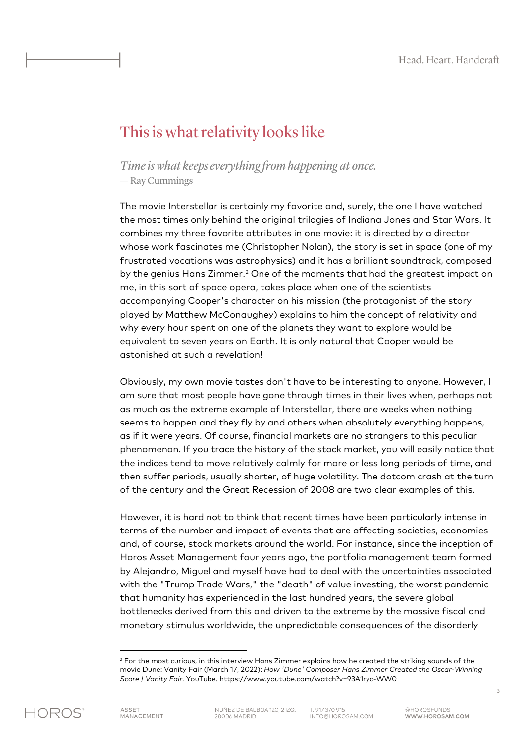## This is what relativity looks like

## *Time is what keeps everything from happening at once.* — Ray Cummings

The movie Interstellar is certainly my favorite and, surely, the one I have watched the most times only behind the original trilogies of Indiana Jones and Star Wars. It combines my three favorite attributes in one movie: it is directed by a director whose work fascinates me (Christopher Nolan), the story is set in space (one of my frustrated vocations was astrophysics) and it has a brilliant soundtrack, composed by the genius Hans Zimmer.<sup>2</sup> One of the moments that had the greatest impact on me, in this sort of space opera, takes place when one of the scientists accompanying Cooper's character on his mission (the protagonist of the story played by Matthew McConaughey) explains to him the concept of relativity and why every hour spent on one of the planets they want to explore would be equivalent to seven years on Earth. It is only natural that Cooper would be astonished at such a revelation!

Obviously, my own movie tastes don't have to be interesting to anyone. However, I am sure that most people have gone through times in their lives when, perhaps not as much as the extreme example of Interstellar, there are weeks when nothing seems to happen and they fly by and others when absolutely everything happens, as if it were years. Of course, financial markets are no strangers to this peculiar phenomenon. If you trace the history of the stock market, you will easily notice that the indices tend to move relatively calmly for more or less long periods of time, and then suffer periods, usually shorter, of huge volatility. The dotcom crash at the turn of the century and the Great Recession of 2008 are two clear examples of this.

However, it is hard not to think that recent times have been particularly intense in terms of the number and impact of events that are affecting societies, economies and, of course, stock markets around the world. For instance, since the inception of Horos Asset Management four years ago, the portfolio management team formed by Alejandro, Miguel and myself have had to deal with the uncertainties associated with the "Trump Trade Wars," the "death" of value investing, the worst pandemic that humanity has experienced in the last hundred years, the severe global bottlenecks derived from this and driven to the extreme by the massive fiscal and monetary stimulus worldwide, the unpredictable consequences of the disorderly

<span id="page-3-0"></span>

<sup>&</sup>lt;sup>2</sup> For the most curious, in this interview Hans Zimmer explains how he created the striking sounds of the movie Dune: Vanity Fair (March 17, 2022): *How 'Dune' Composer Hans Zimmer Created the Oscar-Winning Score | Vanity Fair*. YouTube. https://www.youtube.com/watch?v=93A1ryc-WW0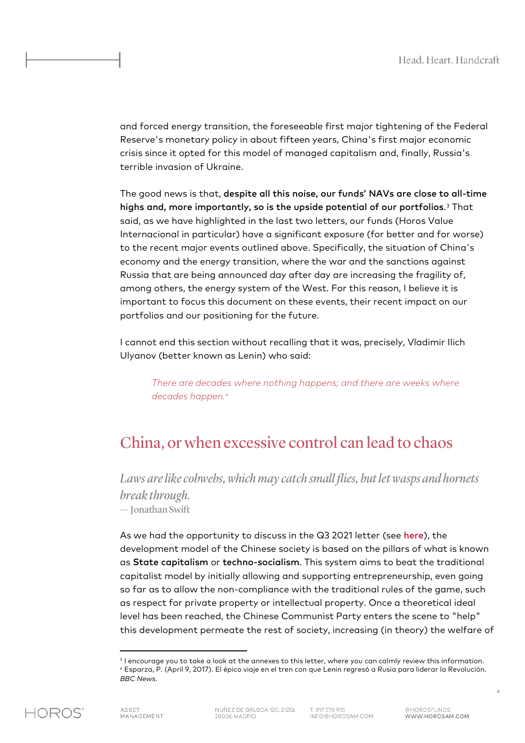and forced energy transition, the foreseeable first major tightening of the Federal Reserve's monetary policy in about fifteen years, China's first major economic crisis since it opted for this model of managed capitalism and, finally, Russia's terrible invasion of Ukraine.

The good news is that, despite all this noise, our funds' NAVs are close to all-time highs and, more importantly, so is the upside potential of our portfolios.[3](#page-4-0) That said, as we have highlighted in the last two letters, our funds (Horos Value Internacional in particular) have a significant exposure (for better and for worse) to the recent major events outlined above. Specifically, the situation of China's economy and the energy transition, where the war and the sanctions against Russia that are being announced day after day are increasing the fragility of, among others, the energy system of the West. For this reason, I believe it is important to focus this document on these events, their recent impact on our portfolios and our positioning for the future.

I cannot end this section without recalling that it was, precisely, Vladimir Ilich Ulyanov (better known as Lenin) who said:

*There are decades where nothing happens; and there are weeks where decades happen. [4](#page-4-1)*

## China, or when excessive control can lead to chaos

*Laws are like cobwebs, which may catch small flies, but let wasps and hornets break through.* — Jonathan Swift

As we had the opportunity to discuss in the Q3 2021 letter (see [here](https://horosam.com/wp-content/uploads/Letter-to-our-co-investors-3Q21.pdf)), the development model of the Chinese society is based on the pillars of what is known as State capitalism or techno-socialism. This system aims to beat the traditional capitalist model by initially allowing and supporting entrepreneurship, even going so far as to allow the non-compliance with the traditional rules of the game, such as respect for private property or intellectual property. Once a theoretical ideal level has been reached, the Chinese Communist Party enters the scene to "help" this development permeate the rest of society, increasing (in theory) the welfare of

<span id="page-4-1"></span><span id="page-4-0"></span><sup>&</sup>lt;sup>3</sup> I encourage you to take a look at the annexes to this letter, where you can calmly review this information. <sup>4</sup> Esparza, P. (April 9, 2017). El épico viaje en el tren con que Lenin regresó a Rusia para liderar la Revolución. *BBC News*.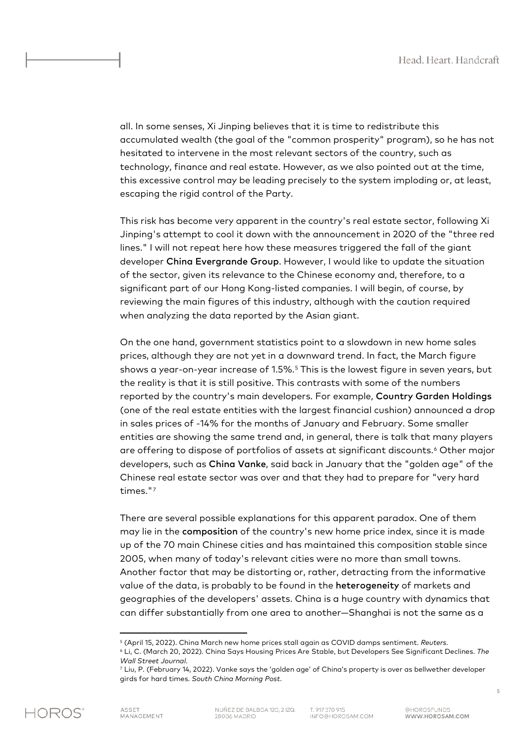all. In some senses, Xi Jinping believes that it is time to redistribute this accumulated wealth (the goal of the "common prosperity" program), so he has not hesitated to intervene in the most relevant sectors of the country, such as technology, finance and real estate. However, as we also pointed out at the time, this excessive control may be leading precisely to the system imploding or, at least, escaping the rigid control of the Party.

This risk has become very apparent in the country's real estate sector, following Xi Jinping's attempt to cool it down with the announcement in 2020 of the "three red lines." I will not repeat here how these measures triggered the fall of the giant developer China Evergrande Group. However, I would like to update the situation of the sector, given its relevance to the Chinese economy and, therefore, to a significant part of our Hong Kong-listed companies. I will begin, of course, by reviewing the main figures of this industry, although with the caution required when analyzing the data reported by the Asian giant.

On the one hand, government statistics point to a slowdown in new home sales prices, although they are not yet in a downward trend. In fact, the March figure shows a year-on-year increase of 1.5%.[5](#page-5-0) This is the lowest figure in seven years, but the reality is that it is still positive. This contrasts with some of the numbers reported by the country's main developers. For example, Country Garden Holdings (one of the real estate entities with the largest financial cushion) announced a drop in sales prices of -14% for the months of January and February. Some smaller entities are showing the same trend and, in general, there is talk that many players are offering to dispose of portfolios of assets at significant discounts.<sup>[6](#page-5-1)</sup> Other major developers, such as China Vanke, said back in January that the "golden age" of the Chinese real estate sector was over and that they had to prepare for "very hard times."[7](#page-5-2)

There are several possible explanations for this apparent paradox. One of them may lie in the composition of the country's new home price index, since it is made up of the 70 main Chinese cities and has maintained this composition stable since 2005, when many of today's relevant cities were no more than small towns. Another factor that may be distorting or, rather, detracting from the informative value of the data, is probably to be found in the heterogeneity of markets and geographies of the developers' assets. China is a huge country with dynamics that can differ substantially from one area to another—Shanghai is not the same as a

<sup>&</sup>lt;sup>5</sup> (April 15, 2022). China March new home prices stall again as COVID damps sentiment. *Reuters.*<br><sup>6</sup> Li, C. (March 20, 2022). China Says Housing Prices Are Stable, but Developers See Significant Declines. *The* 

<span id="page-5-2"></span><span id="page-5-1"></span><span id="page-5-0"></span>*Wall Street Journal.*<br><sup>7</sup> Liu, P. (February 14, 2022). Vanke says the 'golden age' of China's property is over as bellwether developer

girds for hard times. *South China Morning Post*.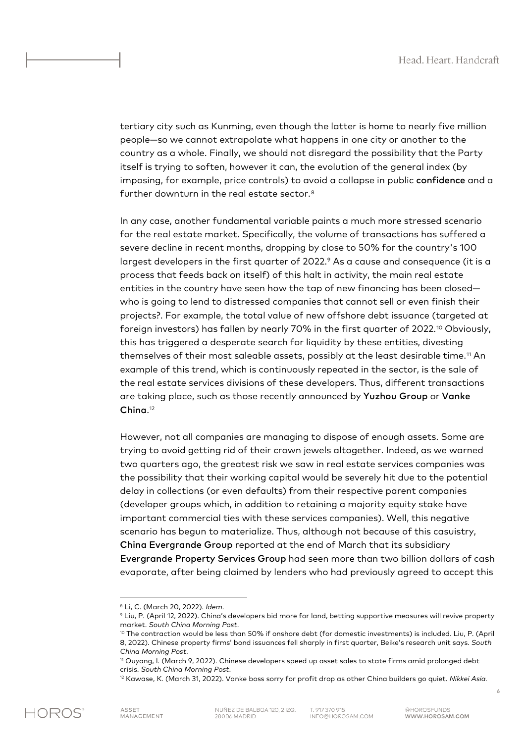tertiary city such as Kunming, even though the latter is home to nearly five million people—so we cannot extrapolate what happens in one city or another to the country as a whole. Finally, we should not disregard the possibility that the Party itself is trying to soften, however it can, the evolution of the general index (by imposing, for example, price controls) to avoid a collapse in public confidence and a further downturn in the real estate sector.[8](#page-6-0)

In any case, another fundamental variable paints a much more stressed scenario for the real estate market. Specifically, the volume of transactions has suffered a severe decline in recent months, dropping by close to 50% for the country's 100 largest developers in the first quarter of 2022.<sup>[9](#page-6-1)</sup> As a cause and consequence (it is a process that feeds back on itself) of this halt in activity, the main real estate entities in the country have seen how the tap of new financing has been closed who is going to lend to distressed companies that cannot sell or even finish their projects?. For example, the total value of new offshore debt issuance (targeted at foreign investors) has fallen by nearly 70% in the first quarter of 2022.<sup>[10](#page-6-2)</sup> Obviously, this has triggered a desperate search for liquidity by these entities, divesting themselves of their most saleable assets, possibly at the least desirable time.[11](#page-6-3) An example of this trend, which is continuously repeated in the sector, is the sale of the real estate services divisions of these developers. Thus, different transactions are taking place, such as those recently announced by Yuzhou Group or Vanke China[.12](#page-6-4)

However, not all companies are managing to dispose of enough assets. Some are trying to avoid getting rid of their crown jewels altogether. Indeed, as we warned two quarters ago, the greatest risk we saw in real estate services companies was the possibility that their working capital would be severely hit due to the potential delay in collections (or even defaults) from their respective parent companies (developer groups which, in addition to retaining a majority equity stake have important commercial ties with these services companies). Well, this negative scenario has begun to materialize. Thus, although not because of this casuistry, China Evergrande Group reported at the end of March that its subsidiary Evergrande Property Services Group had seen more than two billion dollars of cash evaporate, after being claimed by lenders who had previously agreed to accept this

6

<span id="page-6-0"></span><sup>8</sup> Li, C. (March 20, 2022). *Idem*.

<span id="page-6-1"></span><sup>9</sup> Liu, P. (April 12, 2022). China's developers bid more for land, betting supportive measures will revive property market. *South China Morning Post*.

<span id="page-6-2"></span><sup>10</sup> The contraction would be less than 50% if onshore debt (for domestic investments) is included. Liu, P. (April 8, 2022). Chinese property firms' bond issuances fell sharply in first quarter, Beike's research unit says. *South China Morning Post*.

<span id="page-6-3"></span><sup>11</sup> Ouyang, I. (March 9, 2022). Chinese developers speed up asset sales to state firms amid prolonged debt crisis. *South China Morning Post*.

<span id="page-6-4"></span><sup>12</sup> Kawase, K. (March 31, 2022). Vanke boss sorry for profit drop as other China builders go quiet. *Nikkei Asia.*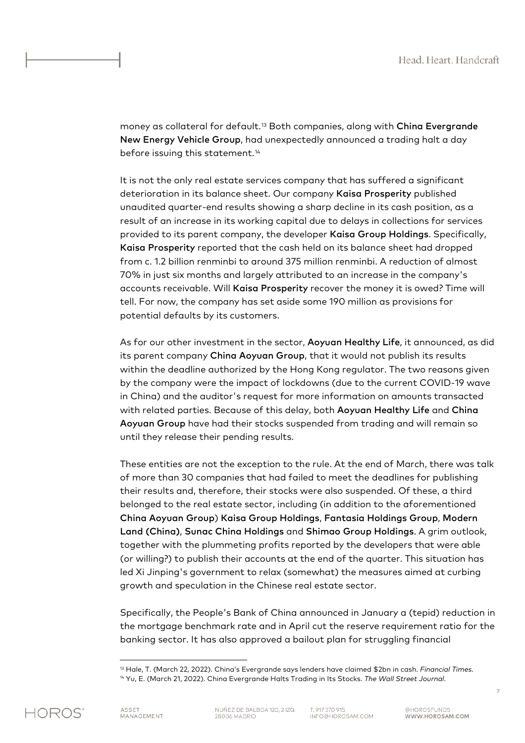money as collateral for default.[13](#page-7-0) Both companies, along with China Evergrande New Energy Vehicle Group, had unexpectedly announced a trading halt a day before issuing this statement.<sup>[14](#page-7-1)</sup>

It is not the only real estate services company that has suffered a significant deterioration in its balance sheet. Our company Kaisa Prosperity published unaudited quarter-end results showing a sharp decline in its cash position, as a result of an increase in its working capital due to delays in collections for services provided to its parent company, the developer Kaisa Group Holdings. Specifically, Kaisa Prosperity reported that the cash held on its balance sheet had dropped from c. 1.2 billion renminbi to around 375 million renminbi. A reduction of almost 70% in just six months and largely attributed to an increase in the company's accounts receivable. Will Kaisa Prosperity recover the money it is owed? Time will tell. For now, the company has set aside some 190 million as provisions for potential defaults by its customers.

As for our other investment in the sector, Aoyuan Healthy Life, it announced, as did its parent company China Aoyuan Group, that it would not publish its results within the deadline authorized by the Hong Kong regulator. The two reasons given by the company were the impact of lockdowns (due to the current COVID-19 wave in China) and the auditor's request for more information on amounts transacted with related parties. Because of this delay, both Aoyuan Healthy Life and China Aoyuan Group have had their stocks suspended from trading and will remain so until they release their pending results.

These entities are not the exception to the rule. At the end of March, there was talk of more than 30 companies that had failed to meet the deadlines for publishing their results and, therefore, their stocks were also suspended. Of these, a third belonged to the real estate sector, including (in addition to the aforementioned China Aoyuan Group) Kaisa Group Holdings, Fantasia Holdings Group, Modern Land (China), Sunac China Holdings and Shimao Group Holdings. A grim outlook, together with the plummeting profits reported by the developers that were able (or willing?) to publish their accounts at the end of the quarter. This situation has led Xi Jinping's government to relax (somewhat) the measures aimed at curbing growth and speculation in the Chinese real estate sector.

Specifically, the People's Bank of China announced in January a (tepid) reduction in the mortgage benchmark rate and in April cut the reserve requirement ratio for the banking sector. It has also approved a bailout plan for struggling financial

<span id="page-7-1"></span><span id="page-7-0"></span>

<sup>13</sup> Hale, T. (March 22, 2022). China's Evergrande says lenders have claimed \$2bn in cash. *Financial Times*. <sup>14</sup> Yu, E. (March 21, 2022). China Evergrande Halts Trading in Its Stocks. *The Wall Street Journal*.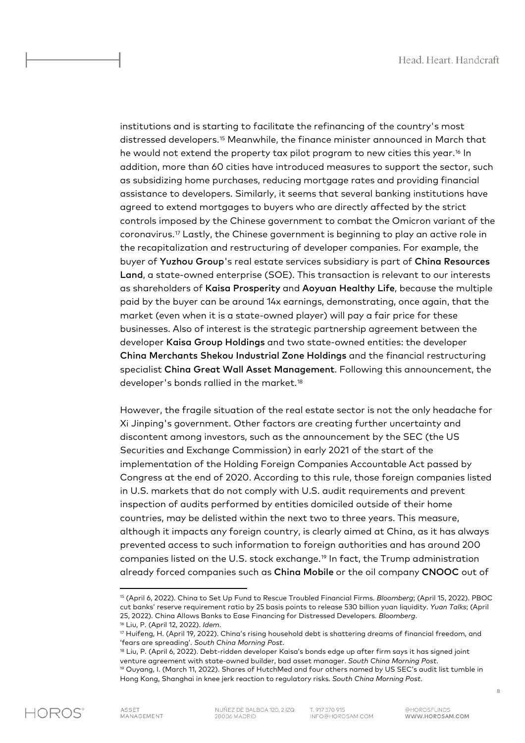institutions and is starting to facilitate the refinancing of the country's most distressed developers.[15](#page-8-0) Meanwhile, the finance minister announced in March that he would not extend the property tax pilot program to new cities this year.<sup>[16](#page-8-1)</sup> In addition, more than 60 cities have introduced measures to support the sector, such as subsidizing home purchases, reducing mortgage rates and providing financial assistance to developers. Similarly, it seems that several banking institutions have agreed to extend mortgages to buyers who are directly affected by the strict controls imposed by the Chinese government to combat the Omicron variant of the coronavirus.[17](#page-8-2) Lastly, the Chinese government is beginning to play an active role in the recapitalization and restructuring of developer companies. For example, the buyer of Yuzhou Group's real estate services subsidiary is part of China Resources Land, a state-owned enterprise (SOE). This transaction is relevant to our interests as shareholders of Kaisa Prosperity and Aoyuan Healthy Life, because the multiple paid by the buyer can be around 14x earnings, demonstrating, once again, that the market (even when it is a state-owned player) will pay a fair price for these businesses. Also of interest is the strategic partnership agreement between the developer Kaisa Group Holdings and two state-owned entities: the developer China Merchants Shekou Industrial Zone Holdings and the financial restructuring specialist China Great Wall Asset Management. Following this announcement, the developer's bonds rallied in the market.[18](#page-8-3)

However, the fragile situation of the real estate sector is not the only headache for Xi Jinping's government. Other factors are creating further uncertainty and discontent among investors, such as the announcement by the SEC (the US Securities and Exchange Commission) in early 2021 of the start of the implementation of the Holding Foreign Companies Accountable Act passed by Congress at the end of 2020. According to this rule, those foreign companies listed in U.S. markets that do not comply with U.S. audit requirements and prevent inspection of audits performed by entities domiciled outside of their home countries, may be delisted within the next two to three years. This measure, although it impacts any foreign country, is clearly aimed at China, as it has always prevented access to such information to foreign authorities and has around 200 companies listed on the U.S. stock exchange.[19](#page-8-4) In fact, the Trump administration already forced companies such as China Mobile or the oil company CNOOC out of

<span id="page-8-0"></span><sup>15</sup> (April 6, 2022). China to Set Up Fund to Rescue Troubled Financial Firms. *Bloomberg*; (April 15, 2022). PBOC cut banks' reserve requirement ratio by 25 basis points to release 530 billion yuan liquidity. *Yuan Talks*; (April 25, 2022). China Allows Banks to Ease Financing for Distressed Developers. *Bloomberg*.

<sup>16</sup> Liu, P. (April 12, 2022). *Idem*.

<span id="page-8-2"></span><span id="page-8-1"></span><sup>17</sup> Huifeng, H. (April 19, 2022). China's rising household debt is shattering dreams of financial freedom, and 'fears are spreading'. *South China Morning Post*.

<span id="page-8-4"></span><span id="page-8-3"></span><sup>&</sup>lt;sup>18</sup> Liu, P. (April 6, 2022). Debt-ridden developer Kaisa's bonds edge up after firm says it has signed joint venture agreement with state-owned builder, bad asset manager. *South China Morning Post*. <sup>19</sup> Ouyang, I. (March 11, 2022). Shares of HutchMed and four others named by US SEC's audit list tumble in Hong Kong, Shanghai in knee jerk reaction to regulatory risks. *South China Morning Post*.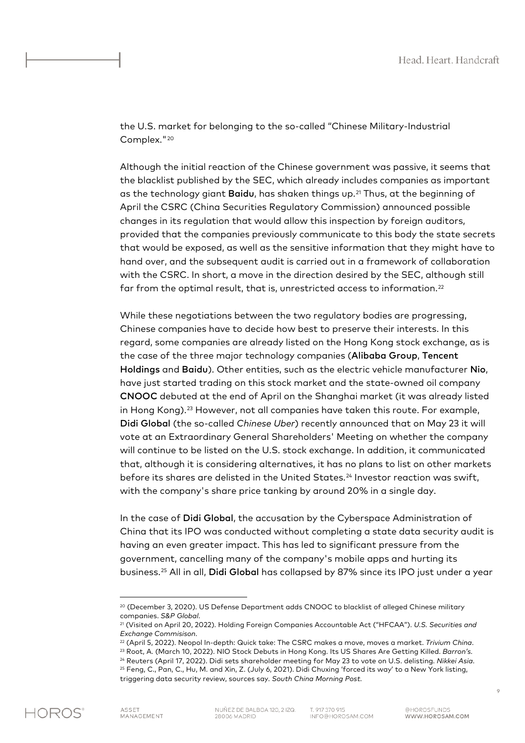the U.S. market for belonging to the so-called "Chinese Military-Industrial Complex."<sup>[20](#page-9-0)</sup>

Although the initial reaction of the Chinese government was passive, it seems that the blacklist published by the SEC, which already includes companies as important as the technology giant Baidu, has shaken things up.<sup>[21](#page-9-1)</sup> Thus, at the beginning of April the CSRC (China Securities Regulatory Commission) announced possible changes in its regulation that would allow this inspection by foreign auditors, provided that the companies previously communicate to this body the state secrets that would be exposed, as well as the sensitive information that they might have to hand over, and the subsequent audit is carried out in a framework of collaboration with the CSRC. In short, a move in the direction desired by the SEC, although still far from the optimal result, that is, unrestricted access to information.<sup>[22](#page-9-2)</sup>

While these negotiations between the two regulatory bodies are progressing, Chinese companies have to decide how best to preserve their interests. In this regard, some companies are already listed on the Hong Kong stock exchange, as is the case of the three major technology companies (Alibaba Group, Tencent Holdings and Baidu). Other entities, such as the electric vehicle manufacturer Nio, have just started trading on this stock market and the state-owned oil company CNOOC debuted at the end of April on the Shanghai market (it was already listed in Hong Kong).[23](#page-9-3) However, not all companies have taken this route. For example, Didi Global (the so-called *Chinese Uber*) recently announced that on May 23 it will vote at an Extraordinary General Shareholders' Meeting on whether the company will continue to be listed on the U.S. stock exchange. In addition, it communicated that, although it is considering alternatives, it has no plans to list on other markets before its shares are delisted in the United States.<sup>[24](#page-9-4)</sup> Investor reaction was swift, with the company's share price tanking by around 20% in a single day.

In the case of Didi Global, the accusation by the Cyberspace Administration of China that its IPO was conducted without completing a state data security audit is having an even greater impact. This has led to significant pressure from the government, cancelling many of the company's mobile apps and hurting its business.[25](#page-9-5) All in all, Didi Global has collapsed by 87% since its IPO just under a year

<span id="page-9-0"></span><sup>&</sup>lt;sup>20</sup> (December 3, 2020). US Defense Department adds CNOOC to blacklist of alleged Chinese military companies. *S&P Global*.

<span id="page-9-1"></span><sup>21</sup> (Visited on April 20, 2022). Holding Foreign Companies Accountable Act ("HFCAA"). *U.S. Securities and Exchange Commisison*.

<span id="page-9-2"></span><sup>22</sup> (April 5, 2022). Neopol In-depth: Quick take: The CSRC makes a move, moves a market. *Trivium China*. <sup>23</sup> Root, A. (March 10, 2022). NIO Stock Debuts in Hong Kong. Its US Shares Are Getting Killed. *Barron's*.

<span id="page-9-5"></span><span id="page-9-4"></span><span id="page-9-3"></span><sup>24</sup> Reuters (April 17, 2022). Didi sets shareholder meeting for May 23 to vote on U.S. delisting. *Nikkei Asia*. <sup>25</sup> Feng, C., Pan, C., Hu, M. and Xin, Z. (July 6, 2021). Didi Chuxing 'forced its way' to a New York listing, triggering data security review, sources say. *South China Morning Post*.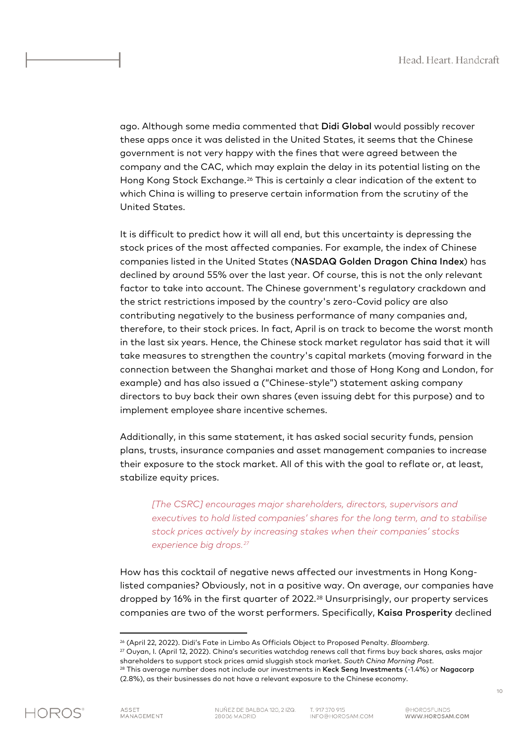ago. Although some media commented that Didi Global would possibly recover these apps once it was delisted in the United States, it seems that the Chinese government is not very happy with the fines that were agreed between the company and the CAC, which may explain the delay in its potential listing on the Hong Kong Stock Exchange.[26](#page-10-0) This is certainly a clear indication of the extent to which China is willing to preserve certain information from the scrutiny of the United States.

It is difficult to predict how it will all end, but this uncertainty is depressing the stock prices of the most affected companies. For example, the index of Chinese companies listed in the United States (NASDAQ Golden Dragon China Index) has declined by around 55% over the last year. Of course, this is not the only relevant factor to take into account. The Chinese government's regulatory crackdown and the strict restrictions imposed by the country's zero-Covid policy are also contributing negatively to the business performance of many companies and, therefore, to their stock prices. In fact, April is on track to become the worst month in the last six years. Hence, the Chinese stock market regulator has said that it will take measures to strengthen the country's capital markets (moving forward in the connection between the Shanghai market and those of Hong Kong and London, for example) and has also issued a ("Chinese-style") statement asking company directors to buy back their own shares (even issuing debt for this purpose) and to implement employee share incentive schemes.

Additionally, in this same statement, it has asked social security funds, pension plans, trusts, insurance companies and asset management companies to increase their exposure to the stock market. All of this with the goal to reflate or, at least, stabilize equity prices.

*[The CSRC] encourages major shareholders, directors, supervisors and executives to hold listed companies' shares for the long term, and to stabilise stock prices actively by increasing stakes when their companies' stocks experience big drops. [27](#page-10-1)*

How has this cocktail of negative news affected our investments in Hong Konglisted companies? Obviously, not in a positive way. On average, our companies have dropped by 16% in the first quarter of 2022.[28](#page-10-2) Unsurprisingly, our property services companies are two of the worst performers. Specifically, Kaisa Prosperity declined

<span id="page-10-2"></span><span id="page-10-1"></span><span id="page-10-0"></span>

<sup>26</sup> (April 22, 2022). Didi's Fate in Limbo As Officials Object to Proposed Penalty. *Bloomberg*. <sup>27</sup> Ouyan, I. (April 12, 2022). China's securities watchdog renews call that firms buy back shares, asks major shareholders to support stock prices amid sluggish stock market. *South China Morning Post*. <sup>28</sup> This average number does not include our investments in Keck Seng Investments (-1.4%) or Nagacorp (2.8%), as their businesses do not have a relevant exposure to the Chinese economy.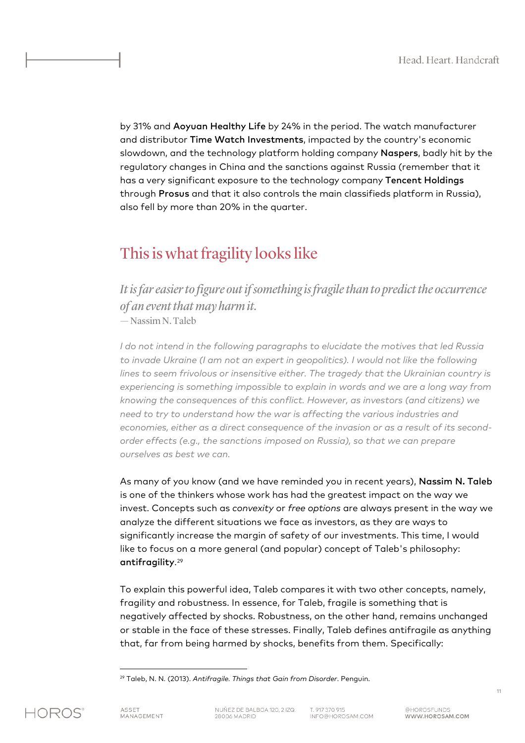by 31% and Aoyuan Healthy Life by 24% in the period. The watch manufacturer and distributor Time Watch Investments, impacted by the country's economic slowdown, and the technology platform holding company Naspers, badly hit by the regulatory changes in China and the sanctions against Russia (remember that it has a very significant exposure to the technology company Tencent Holdings through Prosus and that it also controls the main classifieds platform in Russia), also fell by more than 20% in the quarter.

## This is what fragility looks like

*It is far easier to figure out if something is fragile than to predict the occurrence of an event that may harm it.* — Nassim N. Taleb

*I do not intend in the following paragraphs to elucidate the motives that led Russia to invade Ukraine (I am not an expert in geopolitics). I would not like the following lines to seem frivolous or insensitive either. The tragedy that the Ukrainian country is experiencing is something impossible to explain in words and we are a long way from knowing the consequences of this conflict. However, as investors (and citizens) we need to try to understand how the war is affecting the various industries and economies, either as a direct consequence of the invasion or as a result of its secondorder effects (e.g., the sanctions imposed on Russia), so that we can prepare ourselves as best we can.*

As many of you know (and we have reminded you in recent years), Nassim N. Taleb is one of the thinkers whose work has had the greatest impact on the way we invest. Concepts such as *convexity* or *free options* are always present in the way we analyze the different situations we face as investors, as they are ways to significantly increase the margin of safety of our investments. This time, I would like to focus on a more general (and popular) concept of Taleb's philosophy: antifragility.[29](#page-11-0)

To explain this powerful idea, Taleb compares it with two other concepts, namely, fragility and robustness. In essence, for Taleb, fragile is something that is negatively affected by shocks. Robustness, on the other hand, remains unchanged or stable in the face of these stresses. Finally, Taleb defines antifragile as anything that, far from being harmed by shocks, benefits from them. Specifically:

<span id="page-11-0"></span><sup>29</sup> Taleb, N. N. (2013). *Antifragile. Things that Gain from Disorder*. Penguin.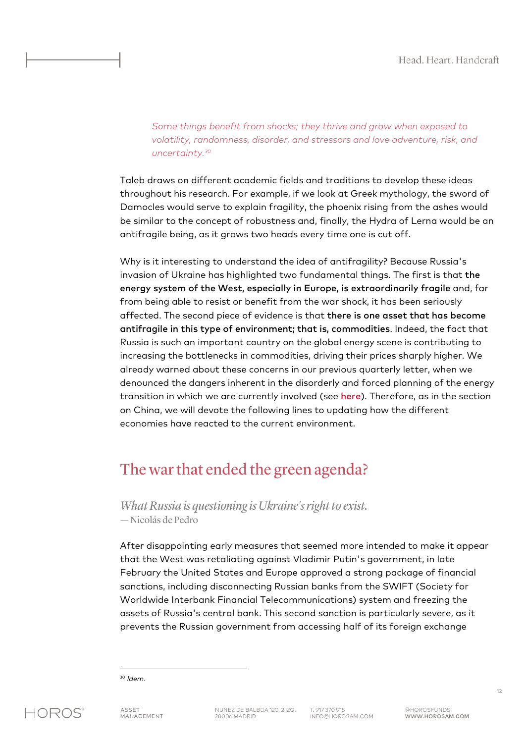*Some things benefit from shocks; they thrive and grow when exposed to volatility, randomness, disorder, and stressors and love adventure, risk, and uncertainty. [30](#page-12-0)*

Taleb draws on different academic fields and traditions to develop these ideas throughout his research. For example, if we look at Greek mythology, the sword of Damocles would serve to explain fragility, the phoenix rising from the ashes would be similar to the concept of robustness and, finally, the Hydra of Lerna would be an antifragile being, as it grows two heads every time one is cut off.

Why is it interesting to understand the idea of antifragility? Because Russia's invasion of Ukraine has highlighted two fundamental things. The first is that the energy system of the West, especially in Europe, is extraordinarily fragile and, far from being able to resist or benefit from the war shock, it has been seriously affected. The second piece of evidence is that there is one asset that has become antifragile in this type of environment; that is, commodities. Indeed, the fact that Russia is such an important country on the global energy scene is contributing to increasing the bottlenecks in commodities, driving their prices sharply higher. We already warned about these concerns in our previous quarterly letter, when we denounced the dangers inherent in the disorderly and forced planning of the energy transition in which we are currently involved (see [here](https://horosam.com/wp-content/uploads/Letter-to-our-co-investors-4Q21.pdf)). Therefore, as in the section on China, we will devote the following lines to updating how the different economies have reacted to the current environment.

## The war that ended the green agenda?

*What Russia is questioning is Ukraine's right to exist.* — Nicolás de Pedro

After disappointing early measures that seemed more intended to make it appear that the West was retaliating against Vladimir Putin's government, in late February the United States and Europe approved a strong package of financial sanctions, including disconnecting Russian banks from the SWIFT (Society for Worldwide Interbank Financial Telecommunications) system and freezing the assets of Russia's central bank. This second sanction is particularly severe, as it prevents the Russian government from accessing half of its foreign exchange

12

<span id="page-12-0"></span><sup>30</sup> *Idem*.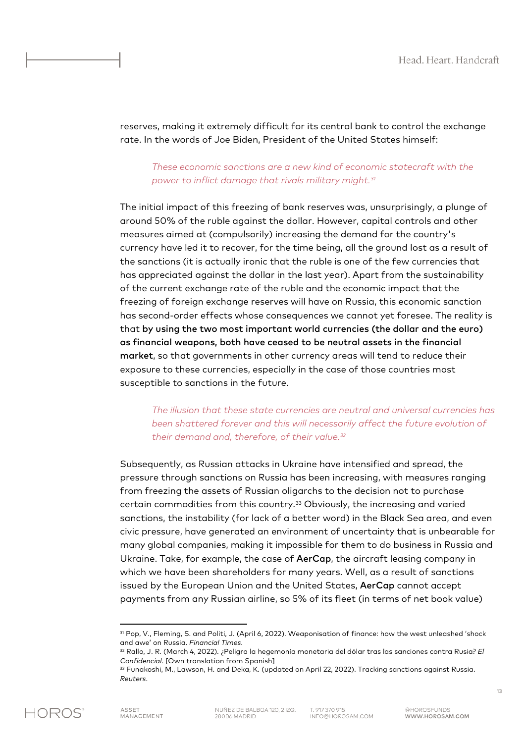reserves, making it extremely difficult for its central bank to control the exchange rate. In the words of Joe Biden, President of the United States himself:

## *These economic sanctions are a new kind of economic statecraft with the power to inflict damage that rivals military might. [31](#page-13-0)*

The initial impact of this freezing of bank reserves was, unsurprisingly, a plunge of around 50% of the ruble against the dollar. However, capital controls and other measures aimed at (compulsorily) increasing the demand for the country's currency have led it to recover, for the time being, all the ground lost as a result of the sanctions (it is actually ironic that the ruble is one of the few currencies that has appreciated against the dollar in the last year). Apart from the sustainability of the current exchange rate of the ruble and the economic impact that the freezing of foreign exchange reserves will have on Russia, this economic sanction has second-order effects whose consequences we cannot yet foresee. The reality is that by using the two most important world currencies (the dollar and the euro) as financial weapons, both have ceased to be neutral assets in the financial market, so that governments in other currency areas will tend to reduce their exposure to these currencies, especially in the case of those countries most susceptible to sanctions in the future.

## *The illusion that these state currencies are neutral and universal currencies has been shattered forever and this will necessarily affect the future evolution of their demand and, therefore, of their value. [32](#page-13-1)*

Subsequently, as Russian attacks in Ukraine have intensified and spread, the pressure through sanctions on Russia has been increasing, with measures ranging from freezing the assets of Russian oligarchs to the decision not to purchase certain commodities from this country.[33](#page-13-2) Obviously, the increasing and varied sanctions, the instability (for lack of a better word) in the Black Sea area, and even civic pressure, have generated an environment of uncertainty that is unbearable for many global companies, making it impossible for them to do business in Russia and Ukraine. Take, for example, the case of AerCap, the aircraft leasing company in which we have been shareholders for many years. Well, as a result of sanctions issued by the European Union and the United States, AerCap cannot accept payments from any Russian airline, so 5% of its fleet (in terms of net book value)

<span id="page-13-2"></span><span id="page-13-1"></span><span id="page-13-0"></span>

<sup>31</sup> Pop, V., Fleming, S. and Politi, J. (April 6, 2022). Weaponisation of finance: how the west unleashed 'shock and awe' on Russia. *Financial Times*.

<sup>32</sup> Rallo, J. R. (March 4, 2022). ¿Peligra la hegemonía monetaria del dólar tras las sanciones contra Rusia? *El Confidencial*. [Own translation from Spanish]

<sup>33</sup> Funakoshi, M., Lawson, H. and Deka, K. (updated on April 22, 2022). Tracking sanctions against Russia. *Reuters*.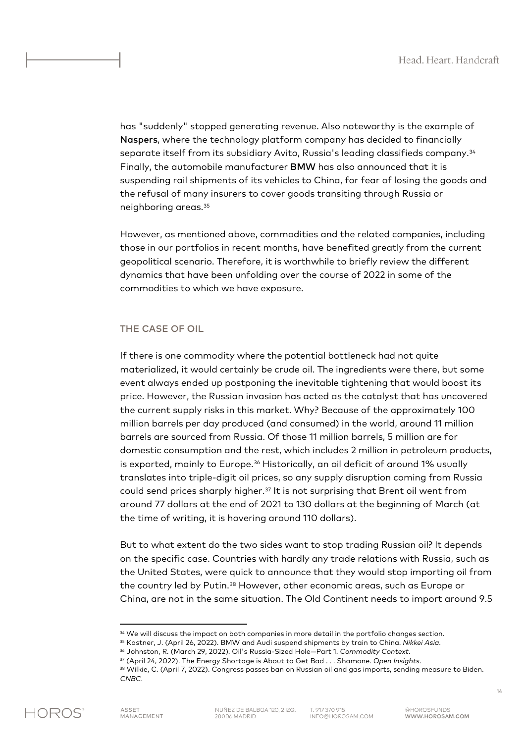has "suddenly" stopped generating revenue. Also noteworthy is the example of Naspers, where the technology platform company has decided to financially separate itself from its subsidiary Avito, Russia's leading classifieds company.[34](#page-14-0) Finally, the automobile manufacturer BMW has also announced that it is suspending rail shipments of its vehicles to China, for fear of losing the goods and the refusal of many insurers to cover goods transiting through Russia or neighboring areas.[35](#page-14-1)

However, as mentioned above, commodities and the related companies, including those in our portfolios in recent months, have benefited greatly from the current geopolitical scenario. Therefore, it is worthwhile to briefly review the different dynamics that have been unfolding over the course of 2022 in some of the commodities to which we have exposure.

#### THE CASE OF OIL

If there is one commodity where the potential bottleneck had not quite materialized, it would certainly be crude oil. The ingredients were there, but some event always ended up postponing the inevitable tightening that would boost its price. However, the Russian invasion has acted as the catalyst that has uncovered the current supply risks in this market. Why? Because of the approximately 100 million barrels per day produced (and consumed) in the world, around 11 million barrels are sourced from Russia. Of those 11 million barrels, 5 million are for domestic consumption and the rest, which includes 2 million in petroleum products, is exported, mainly to Europe.[36](#page-14-2) Historically, an oil deficit of around 1% usually translates into triple-digit oil prices, so any supply disruption coming from Russia could send prices sharply higher.[37](#page-14-3) It is not surprising that Brent oil went from around 77 dollars at the end of 2021 to 130 dollars at the beginning of March (at the time of writing, it is hovering around 110 dollars).

But to what extent do the two sides want to stop trading Russian oil? It depends on the specific case. Countries with hardly any trade relations with Russia, such as the United States, were quick to announce that they would stop importing oil from the country led by Putin.[38](#page-14-4) However, other economic areas, such as Europe or China, are not in the same situation. The Old Continent needs to import around 9.5

<span id="page-14-4"></span><span id="page-14-3"></span><span id="page-14-2"></span><span id="page-14-1"></span><span id="page-14-0"></span>*CNBC*.



<sup>&</sup>lt;sup>34</sup> We will discuss the impact on both companies in more detail in the portfolio changes section.

<sup>35</sup> Kastner, J. (April 26, 2022). BMW and Audi suspend shipments by train to China. *Nikkei Asia*.

<sup>36</sup> Johnston, R. (March 29, 2022). Oil's Russia-Sized Hole—Part 1. *Commodity Context*.

<sup>37</sup> (April 24, 2022). The Energy Shortage is About to Get Bad . . . Shamone. *Open Insights*. 38 Wilkie, C. (April 7, 2022). Congress passes ban on Russian oil and gas imports, sending measure to Biden.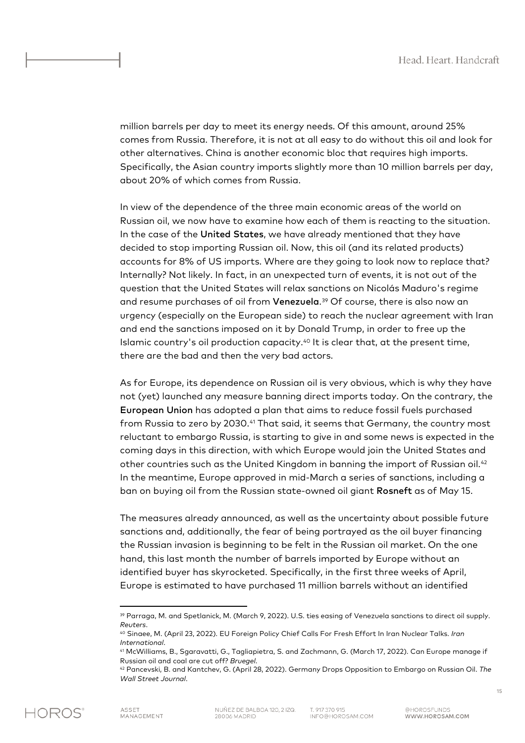million barrels per day to meet its energy needs. Of this amount, around 25% comes from Russia. Therefore, it is not at all easy to do without this oil and look for other alternatives. China is another economic bloc that requires high imports. Specifically, the Asian country imports slightly more than 10 million barrels per day, about 20% of which comes from Russia.

In view of the dependence of the three main economic areas of the world on Russian oil, we now have to examine how each of them is reacting to the situation. In the case of the United States, we have already mentioned that they have decided to stop importing Russian oil. Now, this oil (and its related products) accounts for 8% of US imports. Where are they going to look now to replace that? Internally? Not likely. In fact, in an unexpected turn of events, it is not out of the question that the United States will relax sanctions on Nicolás Maduro's regime and resume purchases of oil from Venezuela.<sup>[39](#page-15-0)</sup> Of course, there is also now an urgency (especially on the European side) to reach the nuclear agreement with Iran and end the sanctions imposed on it by Donald Trump, in order to free up the Islamic country's oil production capacity.[40](#page-15-1) It is clear that, at the present time, there are the bad and then the very bad actors.

As for Europe, its dependence on Russian oil is very obvious, which is why they have not (yet) launched any measure banning direct imports today. On the contrary, the European Union has adopted a plan that aims to reduce fossil fuels purchased from Russia to zero by 2030.[41](#page-15-2) That said, it seems that Germany, the country most reluctant to embargo Russia, is starting to give in and some news is expected in the coming days in this direction, with which Europe would join the United States and other countries such as the United Kingdom in banning the import of Russian oil.[42](#page-15-3)  In the meantime, Europe approved in mid-March a series of sanctions, including a ban on buying oil from the Russian state-owned oil giant Rosneft as of May 15.

The measures already announced, as well as the uncertainty about possible future sanctions and, additionally, the fear of being portrayed as the oil buyer financing the Russian invasion is beginning to be felt in the Russian oil market. On the one hand, this last month the number of barrels imported by Europe without an identified buyer has skyrocketed. Specifically, in the first three weeks of April, Europe is estimated to have purchased 11 million barrels without an identified

<span id="page-15-0"></span><sup>39</sup> Parraga, M. and Spetlanick, M. (March 9, 2022). U.S. ties easing of Venezuela sanctions to direct oil supply. *Reuters*.

<span id="page-15-1"></span><sup>40</sup> Sinaee, M. (April 23, 2022). EU Foreign Policy Chief Calls For Fresh Effort In Iran Nuclear Talks. *Iran International*.

<span id="page-15-2"></span><sup>41</sup> McWilliams, B., Sgaravatti, G., Tagliapietra, S. and Zachmann, G. (March 17, 2022). Can Europe manage if Russian oil and coal are cut off? *Bruegel*.

<span id="page-15-3"></span><sup>42</sup> Pancevski, B. and Kantchev, G. (April 28, 2022). Germany Drops Opposition to Embargo on Russian Oil. *The Wall Street Journal*.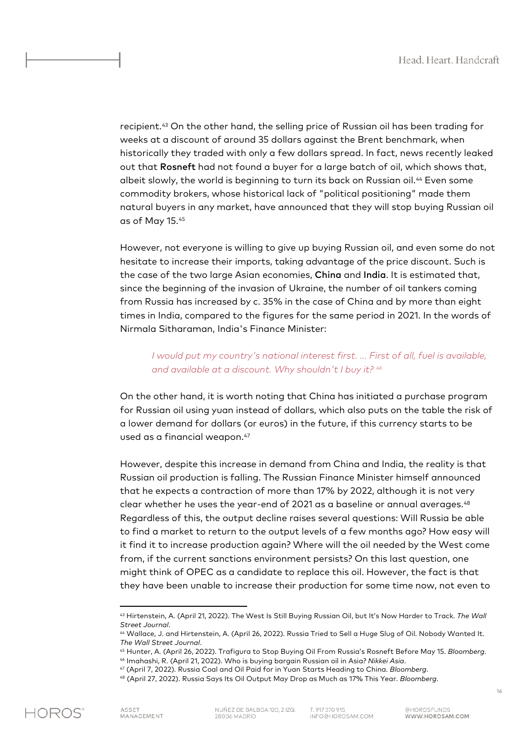recipient.[43](#page-16-0) On the other hand, the selling price of Russian oil has been trading for weeks at a discount of around 35 dollars against the Brent benchmark, when historically they traded with only a few dollars spread. In fact, news recently leaked out that Rosneft had not found a buyer for a large batch of oil, which shows that, albeit slowly, the world is beginning to turn its back on Russian oil.[44](#page-16-1) Even some commodity brokers, whose historical lack of "political positioning" made them natural buyers in any market, have announced that they will stop buying Russian oil as of May 15.[45](#page-16-2) 

However, not everyone is willing to give up buying Russian oil, and even some do not hesitate to increase their imports, taking advantage of the price discount. Such is the case of the two large Asian economies, China and India. It is estimated that, since the beginning of the invasion of Ukraine, the number of oil tankers coming from Russia has increased by c. 35% in the case of China and by more than eight times in India, compared to the figures for the same period in 2021. In the words of Nirmala Sitharaman, India's Finance Minister:

## *I would put my country's national interest first. ... First of all, fuel is available, and available at a discount. Why shouldn't I buy it? [46](#page-16-3)*

On the other hand, it is worth noting that China has initiated a purchase program for Russian oil using yuan instead of dollars, which also puts on the table the risk of a lower demand for dollars (or euros) in the future, if this currency starts to be used as a financial weapon.<sup>[47](#page-16-4)</sup>

However, despite this increase in demand from China and India, the reality is that Russian oil production is falling. The Russian Finance Minister himself announced that he expects a contraction of more than 17% by 2022, although it is not very clear whether he uses the year-end of 2021 as a baseline or annual averages.[48](#page-16-5) Regardless of this, the output decline raises several questions: Will Russia be able to find a market to return to the output levels of a few months ago? How easy will it find it to increase production again? Where will the oil needed by the West come from, if the current sanctions environment persists? On this last question, one might think of OPEC as a candidate to replace this oil. However, the fact is that they have been unable to increase their production for some time now, not even to

<span id="page-16-0"></span><sup>43</sup> Hirtenstein, A. (April 21, 2022). The West Is Still Buying Russian Oil, but It's Now Harder to Track. *The Wall Street Journal*.

<sup>44</sup> Wallace, J. and Hirtenstein, A. (April 26, 2022). Russia Tried to Sell a Huge Slug of Oil. Nobody Wanted It. *The Wall Street Journal*.

<span id="page-16-3"></span><span id="page-16-2"></span><span id="page-16-1"></span><sup>45</sup> Hunter, A. (April 26, 2022). Trafigura to Stop Buying Oil From Russia's Rosneft Before May 15. *Bloomberg*. <sup>46</sup> Imahashi, R. (April 21, 2022). Who is buying bargain Russian oil in Asia? *Nikkei Asia*.

<sup>47</sup> (April 7, 2022). Russia Coal and Oil Paid for in Yuan Starts Heading to China. *Bloomberg*.

<span id="page-16-5"></span><span id="page-16-4"></span><sup>48</sup> (April 27, 2022). Russia Says Its Oil Output May Drop as Much as 17% This Year. *Bloomberg*.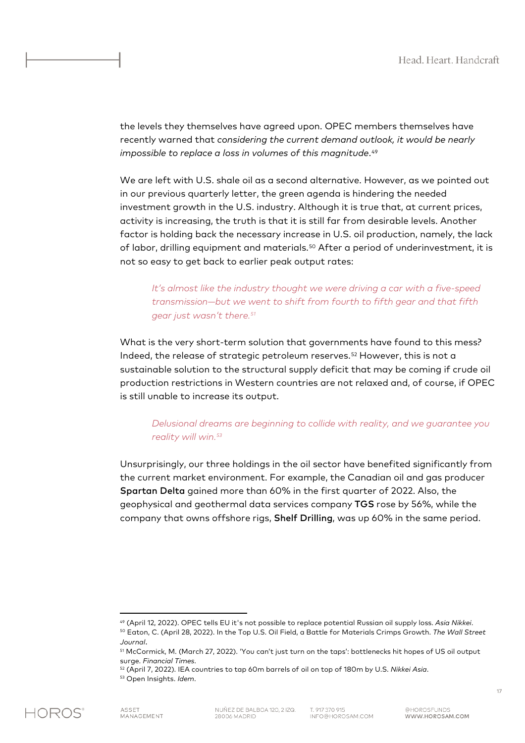the levels they themselves have agreed upon. OPEC members themselves have recently warned that *considering the current demand outlook, it would be nearly impossible to replace a loss in volumes of this magnitude*.<sup>[49](#page-17-0)</sup>

We are left with U.S. shale oil as a second alternative. However, as we pointed out in our previous quarterly letter, the green agenda is hindering the needed investment growth in the U.S. industry. Although it is true that, at current prices, activity is increasing, the truth is that it is still far from desirable levels. Another factor is holding back the necessary increase in U.S. oil production, namely, the lack of labor, drilling equipment and materials.<sup>[50](#page-17-1)</sup> After a period of underinvestment, it is not so easy to get back to earlier peak output rates:

*It's almost like the industry thought we were driving a car with a five-speed transmission—but we went to shift from fourth to fifth gear and that fifth gear just wasn't there. [51](#page-17-2)*

What is the very short-term solution that governments have found to this mess? Indeed, the release of strategic petroleum reserves.[52](#page-17-3) However, this is not a sustainable solution to the structural supply deficit that may be coming if crude oil production restrictions in Western countries are not relaxed and, of course, if OPEC is still unable to increase its output.

## *Delusional dreams are beginning to collide with reality, and we guarantee you reality will win. [53](#page-17-4)*

Unsurprisingly, our three holdings in the oil sector have benefited significantly from the current market environment. For example, the Canadian oil and gas producer Spartan Delta gained more than 60% in the first quarter of 2022. Also, the geophysical and geothermal data services company TGS rose by 56%, while the company that owns offshore rigs, Shelf Drilling, was up 60% in the same period.

<sup>49</sup> (April 12, 2022). OPEC tells EU it's not possible to replace potential Russian oil supply loss. *Asia Nikkei*.

<span id="page-17-2"></span><span id="page-17-1"></span><span id="page-17-0"></span><sup>50</sup> Eaton, C. (April 28, 2022). In the Top U.S. Oil Field, a Battle for Materials Crimps Growth. *The Wall Street Journal*.

<sup>51</sup> McCormick, M. (March 27, 2022). 'You can't just turn on the taps': bottlenecks hit hopes of US oil output surge. *Financial Times*.

<span id="page-17-4"></span><span id="page-17-3"></span><sup>52</sup> (April 7, 2022). IEA countries to tap 60m barrels of oil on top of 180m by U.S. *Nikkei Asia*.

<sup>53</sup> Open Insights. *Idem*.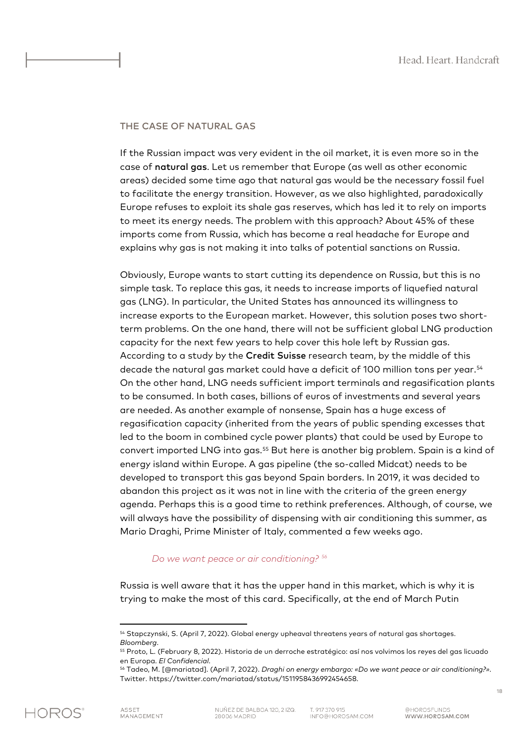### THE CASE OF NATURAL GAS

If the Russian impact was very evident in the oil market, it is even more so in the case of natural gas. Let us remember that Europe (as well as other economic areas) decided some time ago that natural gas would be the necessary fossil fuel to facilitate the energy transition. However, as we also highlighted, paradoxically Europe refuses to exploit its shale gas reserves, which has led it to rely on imports to meet its energy needs. The problem with this approach? About 45% of these imports come from Russia, which has become a real headache for Europe and explains why gas is not making it into talks of potential sanctions on Russia.

Obviously, Europe wants to start cutting its dependence on Russia, but this is no simple task. To replace this gas, it needs to increase imports of liquefied natural gas (LNG). In particular, the United States has announced its willingness to increase exports to the European market. However, this solution poses two shortterm problems. On the one hand, there will not be sufficient global LNG production capacity for the next few years to help cover this hole left by Russian gas. According to a study by the Credit Suisse research team, by the middle of this decade the natural gas market could have a deficit of 100 million tons per year.[54](#page-18-0) On the other hand, LNG needs sufficient import terminals and regasification plants to be consumed. In both cases, billions of euros of investments and several years are needed. As another example of nonsense, Spain has a huge excess of regasification capacity (inherited from the years of public spending excesses that led to the boom in combined cycle power plants) that could be used by Europe to convert imported LNG into gas.[55](#page-18-1) But here is another big problem. Spain is a kind of energy island within Europe. A gas pipeline (the so-called Midcat) needs to be developed to transport this gas beyond Spain borders. In 2019, it was decided to abandon this project as it was not in line with the criteria of the green energy agenda. Perhaps this is a good time to rethink preferences. Although, of course, we will always have the possibility of dispensing with air conditioning this summer, as Mario Draghi, Prime Minister of Italy, commented a few weeks ago.

#### *Do we want peace or air conditioning? [56](#page-18-2)*

Russia is well aware that it has the upper hand in this market, which is why it is trying to make the most of this card. Specifically, at the end of March Putin

<span id="page-18-0"></span><sup>54</sup> Stapczynski, S. (April 7, 2022). Global energy upheaval threatens years of natural gas shortages. *Bloomberg*.

<span id="page-18-1"></span><sup>55</sup> Proto, L. (February 8, 2022). Historia de un derroche estratégico: así nos volvimos los reyes del gas licuado en Europa. *El Confidencial*.

<span id="page-18-2"></span><sup>56</sup> Tadeo, M. [@mariatad]. (April 7, 2022). *Draghi on energy embargo: «Do we want peace or air conditioning?»*. Twitter. https://twitter.com/mariatad/status/1511958436992454658.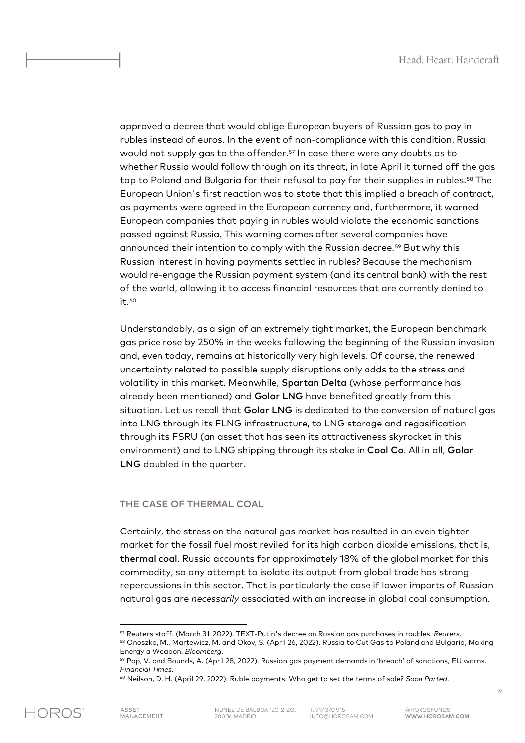approved a decree that would oblige European buyers of Russian gas to pay in rubles instead of euros. In the event of non-compliance with this condition, Russia would not supply gas to the offender.[57](#page-19-0) In case there were any doubts as to whether Russia would follow through on its threat, in late April it turned off the gas tap to Poland and Bulgaria for their refusal to pay for their supplies in rubles.[58](#page-19-1) The European Union's first reaction was to state that this implied a breach of contract, as payments were agreed in the European currency and, furthermore, it warned European companies that paying in rubles would violate the economic sanctions passed against Russia. This warning comes after several companies have announced their intention to comply with the Russian decree.[59](#page-19-2) But why this Russian interest in having payments settled in rubles? Because the mechanism would re-engage the Russian payment system (and its central bank) with the rest of the world, allowing it to access financial resources that are currently denied to it.<sup>[60](#page-19-3)</sup>

Understandably, as a sign of an extremely tight market, the European benchmark gas price rose by 250% in the weeks following the beginning of the Russian invasion and, even today, remains at historically very high levels. Of course, the renewed uncertainty related to possible supply disruptions only adds to the stress and volatility in this market. Meanwhile, Spartan Delta (whose performance has already been mentioned) and Golar LNG have benefited greatly from this situation. Let us recall that Golar LNG is dedicated to the conversion of natural gas into LNG through its FLNG infrastructure, to LNG storage and regasification through its FSRU (an asset that has seen its attractiveness skyrocket in this environment) and to LNG shipping through its stake in Cool Co. All in all, Golar LNG doubled in the quarter.

#### THE CASE OF THERMAL COAL

Certainly, the stress on the natural gas market has resulted in an even tighter market for the fossil fuel most reviled for its high carbon dioxide emissions, that is, thermal coal. Russia accounts for approximately 18% of the global market for this commodity, so any attempt to isolate its output from global trade has strong repercussions in this sector. That is particularly the case if lower imports of Russian natural gas are *necessarily* associated with an increase in global coal consumption.

<span id="page-19-1"></span><span id="page-19-0"></span><sup>57</sup> Reuters staff. (March 31, 2022). TEXT-Putin's decree on Russian gas purchases in roubles. *Reuters*. 58 Onoszko, M., Martewicz, M. and Okov, S. (April 26, 2022). Russia to Cut Gas to Poland and Bulgaria, Making Energy a Weapon. *Bloomberg*.

<span id="page-19-2"></span><sup>59</sup> Pop, V. and Bounds, A. (April 28, 2022). Russian gas payment demands in 'breach' of sanctions, EU warns. *Financial Times*.

<span id="page-19-3"></span><sup>60</sup> Neilson, D. H. (April 29, 2022). Ruble payments. Who get to set the terms of sale? *Soon Parted*.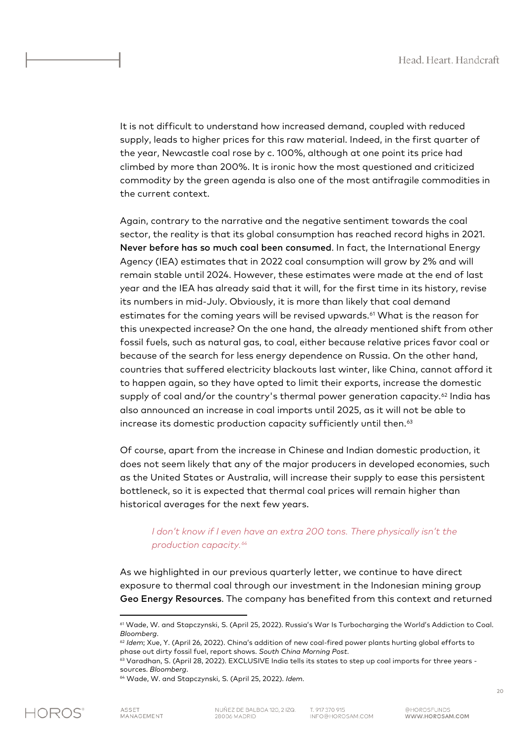It is not difficult to understand how increased demand, coupled with reduced supply, leads to higher prices for this raw material. Indeed, in the first quarter of the year, Newcastle coal rose by c. 100%, although at one point its price had climbed by more than 200%. It is ironic how the most questioned and criticized commodity by the green agenda is also one of the most antifragile commodities in the current context.

Again, contrary to the narrative and the negative sentiment towards the coal sector, the reality is that its global consumption has reached record highs in 2021. Never before has so much coal been consumed. In fact, the International Energy Agency (IEA) estimates that in 2022 coal consumption will grow by 2% and will remain stable until 2024. However, these estimates were made at the end of last year and the IEA has already said that it will, for the first time in its history, revise its numbers in mid-July. Obviously, it is more than likely that coal demand estimates for the coming years will be revised upwards.<sup>[61](#page-20-0)</sup> What is the reason for this unexpected increase? On the one hand, the already mentioned shift from other fossil fuels, such as natural gas, to coal, either because relative prices favor coal or because of the search for less energy dependence on Russia. On the other hand, countries that suffered electricity blackouts last winter, like China, cannot afford it to happen again, so they have opted to limit their exports, increase the domestic supply of coal and/or the country's thermal power generation capacity.<sup>[62](#page-20-1)</sup> India has also announced an increase in coal imports until 2025, as it will not be able to increase its domestic production capacity sufficiently until then.<sup>[63](#page-20-2)</sup>

Of course, apart from the increase in Chinese and Indian domestic production, it does not seem likely that any of the major producers in developed economies, such as the United States or Australia, will increase their supply to ease this persistent bottleneck, so it is expected that thermal coal prices will remain higher than historical averages for the next few years.

## *I don't know if I even have an extra 200 tons. There physically isn't the production capacity. [64](#page-20-3)*

As we highlighted in our previous quarterly letter, we continue to have direct exposure to thermal coal through our investment in the Indonesian mining group Geo Energy Resources. The company has benefited from this context and returned

<span id="page-20-0"></span><sup>61</sup> Wade, W. and Stapczynski, S. (April 25, 2022). Russia's War Is Turbocharging the World's Addiction to Coal. *Bloomberg*.

<sup>62</sup> *Idem*; Xue, Y. (April 26, 2022). China's addition of new coal-fired power plants hurting global efforts to phase out dirty fossil fuel, report shows. *South China Morning Post*.

<span id="page-20-3"></span><span id="page-20-2"></span><span id="page-20-1"></span><sup>&</sup>lt;sup>63</sup> Varadhan, S. (April 28, 2022). EXCLUSIVE India tells its states to step up coal imports for three years sources. *Bloomberg*.

<sup>64</sup> Wade, W. and Stapczynski, S. (April 25, 2022). *Idem*.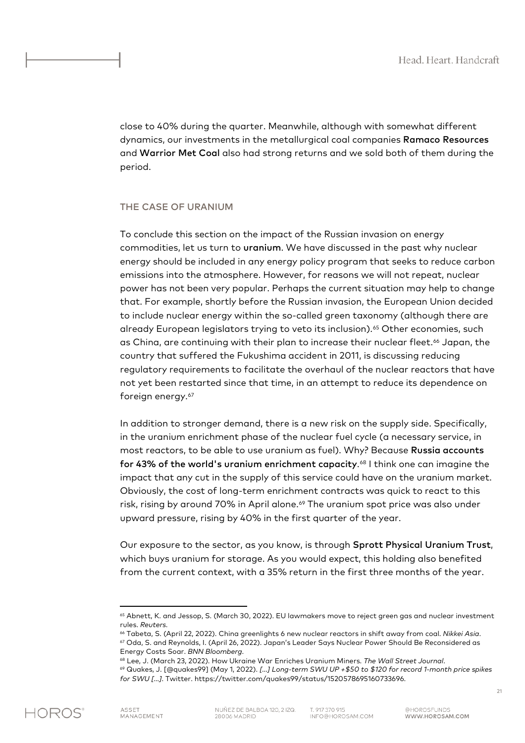close to 40% during the quarter. Meanwhile, although with somewhat different dynamics, our investments in the metallurgical coal companies Ramaco Resources and Warrior Met Coal also had strong returns and we sold both of them during the period.

#### THE CASE OF URANIUM

To conclude this section on the impact of the Russian invasion on energy commodities, let us turn to uranium. We have discussed in the past why nuclear energy should be included in any energy policy program that seeks to reduce carbon emissions into the atmosphere. However, for reasons we will not repeat, nuclear power has not been very popular. Perhaps the current situation may help to change that. For example, shortly before the Russian invasion, the European Union decided to include nuclear energy within the so-called green taxonomy (although there are already European legislators trying to veto its inclusion).<sup>[65](#page-21-0)</sup> Other economies, such as China, are continuing with their plan to increase their nuclear fleet.<sup>[66](#page-21-1)</sup> Japan, the country that suffered the Fukushima accident in 2011, is discussing reducing regulatory requirements to facilitate the overhaul of the nuclear reactors that have not yet been restarted since that time, in an attempt to reduce its dependence on foreign energy.<sup>[67](#page-21-2)</sup>

In addition to stronger demand, there is a new risk on the supply side. Specifically, in the uranium enrichment phase of the nuclear fuel cycle (a necessary service, in most reactors, to be able to use uranium as fuel). Why? Because Russia accounts for 43% of the world's uranium enrichment capacity.<sup>[68](#page-21-3)</sup> I think one can imagine the impact that any cut in the supply of this service could have on the uranium market. Obviously, the cost of long-term enrichment contracts was quick to react to this risk, rising by around 70% in April alone.<sup>[69](#page-21-4)</sup> The uranium spot price was also under upward pressure, rising by 40% in the first quarter of the year.

Our exposure to the sector, as you know, is through Sprott Physical Uranium Trust, which buys uranium for storage. As you would expect, this holding also benefited from the current context, with a 35% return in the first three months of the year.

<span id="page-21-0"></span><sup>&</sup>lt;sup>65</sup> Abnett, K. and Jessop, S. (March 30, 2022). EU lawmakers move to reject green gas and nuclear investment rules. *Reuters*.

<span id="page-21-1"></span><sup>66</sup> Tabeta, S. (April 22, 2022). China greenlights 6 new nuclear reactors in shift away from coal. *Nikkei Asia*. <sup>67</sup> Oda, S. and Reynolds, I. (April 26, 2022). Japan's Leader Says Nuclear Power Should Be Reconsidered as Energy Costs Soar. *BNN Bloomberg*.

<span id="page-21-4"></span><span id="page-21-3"></span><span id="page-21-2"></span><sup>68</sup> Lee, J. (March 23, 2022). How Ukraine War Enriches Uranium Miners. *The Wall Street Journal*.

<sup>69</sup> Quakes, J. [@quakes99] (May 1, 2022). *[…] Long-term SWU UP +\$50 to \$120 for record 1-month price spikes for SWU […]*. Twitter. https://twitter.com/quakes99/status/1520578695160733696.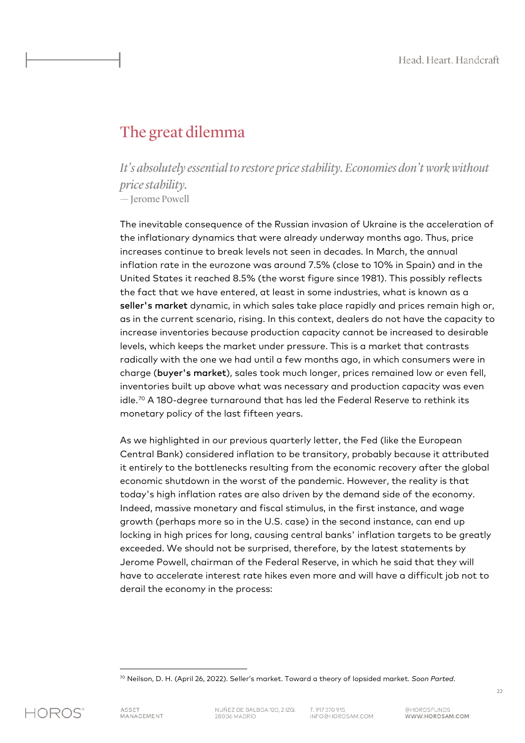## The great dilemma

*It's absolutely essential to restore price stability. Economies don't work without price stability.* — Jerome Powell

The inevitable consequence of the Russian invasion of Ukraine is the acceleration of the inflationary dynamics that were already underway months ago. Thus, price increases continue to break levels not seen in decades. In March, the annual inflation rate in the eurozone was around 7.5% (close to 10% in Spain) and in the United States it reached 8.5% (the worst figure since 1981). This possibly reflects the fact that we have entered, at least in some industries, what is known as a seller's market dynamic, in which sales take place rapidly and prices remain high or, as in the current scenario, rising. In this context, dealers do not have the capacity to increase inventories because production capacity cannot be increased to desirable levels, which keeps the market under pressure. This is a market that contrasts radically with the one we had until a few months ago, in which consumers were in charge (buyer's market), sales took much longer, prices remained low or even fell, inventories built up above what was necessary and production capacity was even idle.[70](#page-22-0) A 180-degree turnaround that has led the Federal Reserve to rethink its monetary policy of the last fifteen years.

As we highlighted in our previous quarterly letter, the Fed (like the European Central Bank) considered inflation to be transitory, probably because it attributed it entirely to the bottlenecks resulting from the economic recovery after the global economic shutdown in the worst of the pandemic. However, the reality is that today's high inflation rates are also driven by the demand side of the economy. Indeed, massive monetary and fiscal stimulus, in the first instance, and wage growth (perhaps more so in the U.S. case) in the second instance, can end up locking in high prices for long, causing central banks' inflation targets to be greatly exceeded. We should not be surprised, therefore, by the latest statements by Jerome Powell, chairman of the Federal Reserve, in which he said that they will have to accelerate interest rate hikes even more and will have a difficult job not to derail the economy in the process:

<span id="page-22-0"></span>

<sup>70</sup> Neilson, D. H. (April 26, 2022). Seller's market. Toward a theory of lopsided market. *Soon Parted*.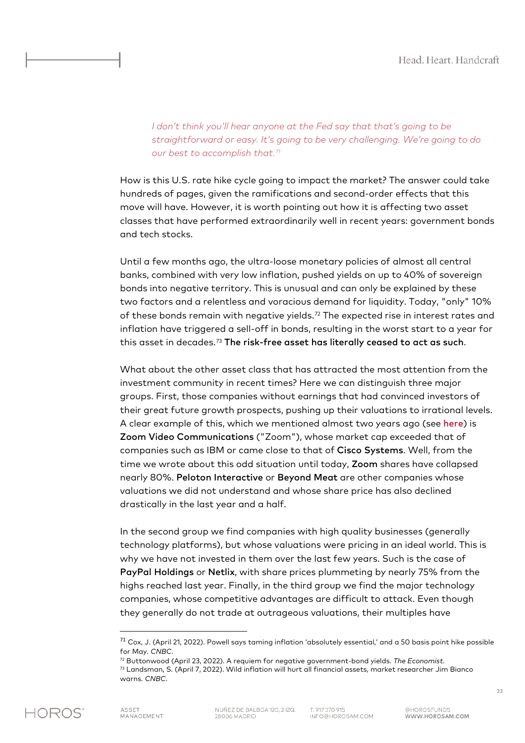*I don't think you'll hear anyone at the Fed say that that's going to be straightforward or easy. It's going to be very challenging. We're going to do our best to accomplish that. [71](#page-23-0)*

How is this U.S. rate hike cycle going to impact the market? The answer could take hundreds of pages, given the ramifications and second-order effects that this move will have. However, it is worth pointing out how it is affecting two asset classes that have performed extraordinarily well in recent years: government bonds and tech stocks.

Until a few months ago, the ultra-loose monetary policies of almost all central banks, combined with very low inflation, pushed yields on up to 40% of sovereign bonds into negative territory. This is unusual and can only be explained by these two factors and a relentless and voracious demand for liquidity. Today, "only" 10% of these bonds remain with negative yields.[72](#page-23-1) The expected rise in interest rates and inflation have triggered a sell-off in bonds, resulting in the worst start to a year for this asset in decades.[73](#page-23-2) The risk-free asset has literally ceased to act as such.

What about the other asset class that has attracted the most attention from the investment community in recent times? Here we can distinguish three major groups. First, those companies without earnings that had convinced investors of their great future growth prospects, pushing up their valuations to irrational levels. A clear example of this, which we mentioned almost two years ago (see [here](https://horosam.com/wp-content/uploads/Letter-to-our-co-investors-3Q20.pdf)) is Zoom Video Communications ("Zoom"), whose market cap exceeded that of companies such as IBM or came close to that of Cisco Systems. Well, from the time we wrote about this odd situation until today, Zoom shares have collapsed nearly 80%. Peloton Interactive or Beyond Meat are other companies whose valuations we did not understand and whose share price has also declined drastically in the last year and a half.

In the second group we find companies with high quality businesses (generally technology platforms), but whose valuations were pricing in an ideal world. This is why we have not invested in them over the last few years. Such is the case of PayPal Holdings or Netlix, with share prices plummeting by nearly 75% from the highs reached last year. Finally, in the third group we find the major technology companies, whose competitive advantages are difficult to attack. Even though they generally do not trade at outrageous valuations, their multiples have

<span id="page-23-2"></span><span id="page-23-1"></span><span id="page-23-0"></span><sup>73</sup> Landsman, S. (April 7, 2022). Wild inflation will hurt all financial assets, market researcher Jim Bianco warns. *CNBC*.



 $71$  Cox, J. (April 21, 2022). Powell says taming inflation 'absolutely essential,' and a 50 basis point hike possible for May. *CNBC*.

<sup>72</sup> Buttonwood (April 23, 2022). A requiem for negative government-bond yields. *The Economist*.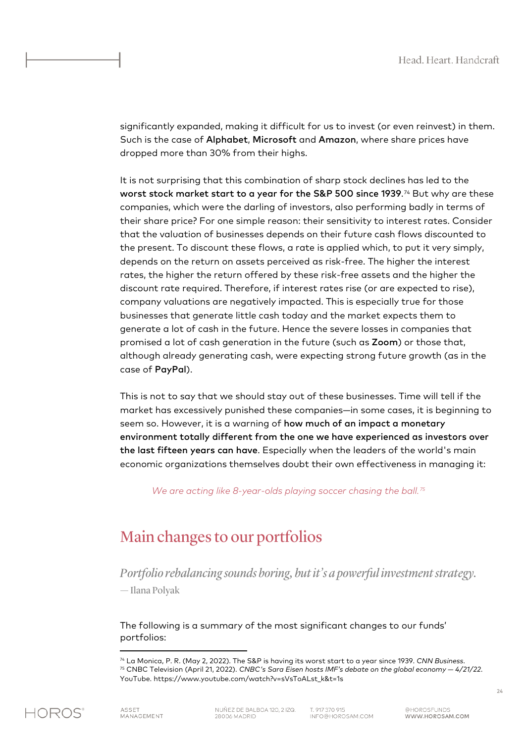significantly expanded, making it difficult for us to invest (or even reinvest) in them. Such is the case of Alphabet, Microsoft and Amazon, where share prices have dropped more than 30% from their highs.

It is not surprising that this combination of sharp stock declines has led to the worst stock market start to a year for the S&P 500 since 1939.[74](#page-24-0) But why are these companies, which were the darling of investors, also performing badly in terms of their share price? For one simple reason: their sensitivity to interest rates. Consider that the valuation of businesses depends on their future cash flows discounted to the present. To discount these flows, a rate is applied which, to put it very simply, depends on the return on assets perceived as risk-free. The higher the interest rates, the higher the return offered by these risk-free assets and the higher the discount rate required. Therefore, if interest rates rise (or are expected to rise), company valuations are negatively impacted. This is especially true for those businesses that generate little cash today and the market expects them to generate a lot of cash in the future. Hence the severe losses in companies that promised a lot of cash generation in the future (such as Zoom) or those that, although already generating cash, were expecting strong future growth (as in the case of PayPal).

This is not to say that we should stay out of these businesses. Time will tell if the market has excessively punished these companies—in some cases, it is beginning to seem so. However, it is a warning of how much of an impact a monetary environment totally different from the one we have experienced as investors over the last fifteen years can have. Especially when the leaders of the world's main economic organizations themselves doubt their own effectiveness in managing it:

*We are acting like 8-year-olds playing soccer chasing the ball. [75](#page-24-1)*

## Main changes to our portfolios

*Portfolio rebalancing sounds boring, but it's a powerful investment strategy.* — Ilana Polyak

The following is a summary of the most significant changes to our funds' portfolios:

<span id="page-24-1"></span><span id="page-24-0"></span><sup>74</sup> La Monica, P. R. (May 2, 2022). The S&P is having its worst start to a year since 1939. *CNN Business*. <sup>75</sup> CNBC Television (April 21, 2022). *CNBC's Sara Eisen hosts IMF's debate on the global economy — 4/21/22*. YouTube. https://www.youtube.com/watch?v=sVsToALst\_k&t=1s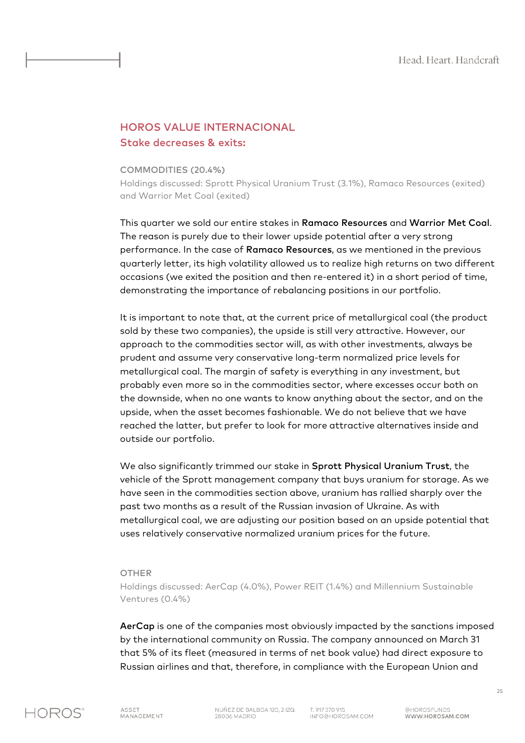## HOROS VALUE INTERNACIONAL Stake decreases & exits:

#### COMMODITIES (20.4%)

Holdings discussed: Sprott Physical Uranium Trust (3.1%), Ramaco Resources (exited) and Warrior Met Coal (exited)

This quarter we sold our entire stakes in Ramaco Resources and Warrior Met Coal. The reason is purely due to their lower upside potential after a very strong performance. In the case of Ramaco Resources, as we mentioned in the previous quarterly letter, its high volatility allowed us to realize high returns on two different occasions (we exited the position and then re-entered it) in a short period of time, demonstrating the importance of rebalancing positions in our portfolio.

It is important to note that, at the current price of metallurgical coal (the product sold by these two companies), the upside is still very attractive. However, our approach to the commodities sector will, as with other investments, always be prudent and assume very conservative long-term normalized price levels for metallurgical coal. The margin of safety is everything in any investment, but probably even more so in the commodities sector, where excesses occur both on the downside, when no one wants to know anything about the sector, and on the upside, when the asset becomes fashionable. We do not believe that we have reached the latter, but prefer to look for more attractive alternatives inside and outside our portfolio.

We also significantly trimmed our stake in Sprott Physical Uranium Trust, the vehicle of the Sprott management company that buys uranium for storage. As we have seen in the commodities section above, uranium has rallied sharply over the past two months as a result of the Russian invasion of Ukraine. As with metallurgical coal, we are adjusting our position based on an upside potential that uses relatively conservative normalized uranium prices for the future.

#### OTHER

Holdings discussed: AerCap (4.0%), Power REIT (1.4%) and Millennium Sustainable Ventures (0.4%)

AerCap is one of the companies most obviously impacted by the sanctions imposed by the international community on Russia. The company announced on March 31 that 5% of its fleet (measured in terms of net book value) had direct exposure to Russian airlines and that, therefore, in compliance with the European Union and

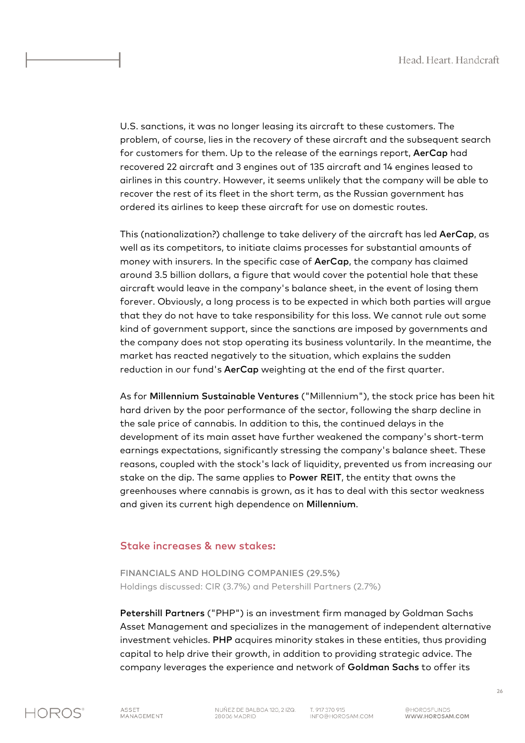U.S. sanctions, it was no longer leasing its aircraft to these customers. The problem, of course, lies in the recovery of these aircraft and the subsequent search for customers for them. Up to the release of the earnings report, AerCap had recovered 22 aircraft and 3 engines out of 135 aircraft and 14 engines leased to airlines in this country. However, it seems unlikely that the company will be able to recover the rest of its fleet in the short term, as the Russian government has ordered its airlines to keep these aircraft for use on domestic routes.

This (nationalization?) challenge to take delivery of the aircraft has led AerCap, as well as its competitors, to initiate claims processes for substantial amounts of money with insurers. In the specific case of AerCap, the company has claimed around 3.5 billion dollars, a figure that would cover the potential hole that these aircraft would leave in the company's balance sheet, in the event of losing them forever. Obviously, a long process is to be expected in which both parties will argue that they do not have to take responsibility for this loss. We cannot rule out some kind of government support, since the sanctions are imposed by governments and the company does not stop operating its business voluntarily. In the meantime, the market has reacted negatively to the situation, which explains the sudden reduction in our fund's AerCap weighting at the end of the first quarter.

As for Millennium Sustainable Ventures ("Millennium"), the stock price has been hit hard driven by the poor performance of the sector, following the sharp decline in the sale price of cannabis. In addition to this, the continued delays in the development of its main asset have further weakened the company's short-term earnings expectations, significantly stressing the company's balance sheet. These reasons, coupled with the stock's lack of liquidity, prevented us from increasing our stake on the dip. The same applies to Power REIT, the entity that owns the greenhouses where cannabis is grown, as it has to deal with this sector weakness and given its current high dependence on Millennium.

#### Stake increases & new stakes:

FINANCIALS AND HOLDING COMPANIES (29.5%) Holdings discussed: CIR (3.7%) and Petershill Partners (2.7%)

Petershill Partners ("PHP") is an investment firm managed by Goldman Sachs Asset Management and specializes in the management of independent alternative investment vehicles. PHP acquires minority stakes in these entities, thus providing capital to help drive their growth, in addition to providing strategic advice. The company leverages the experience and network of Goldman Sachs to offer its

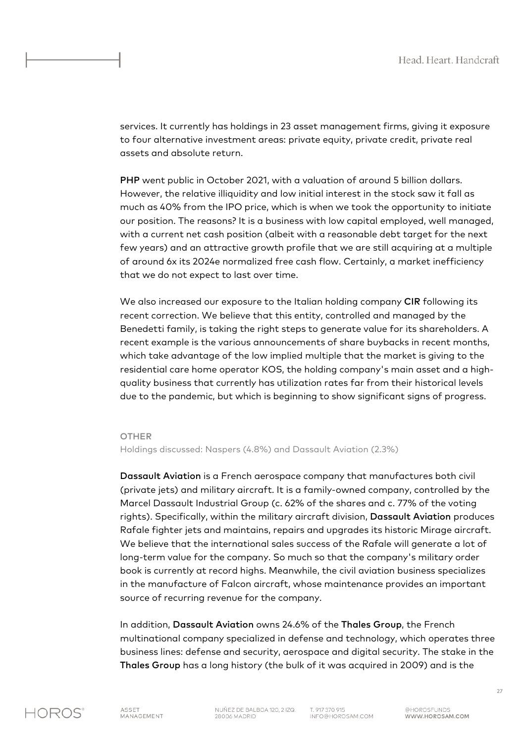services. It currently has holdings in 23 asset management firms, giving it exposure to four alternative investment areas: private equity, private credit, private real assets and absolute return.

PHP went public in October 2021, with a valuation of around 5 billion dollars. However, the relative illiquidity and low initial interest in the stock saw it fall as much as 40% from the IPO price, which is when we took the opportunity to initiate our position. The reasons? It is a business with low capital employed, well managed, with a current net cash position (albeit with a reasonable debt target for the next few years) and an attractive growth profile that we are still acquiring at a multiple of around 6x its 2024e normalized free cash flow. Certainly, a market inefficiency that we do not expect to last over time.

We also increased our exposure to the Italian holding company CIR following its recent correction. We believe that this entity, controlled and managed by the Benedetti family, is taking the right steps to generate value for its shareholders. A recent example is the various announcements of share buybacks in recent months, which take advantage of the low implied multiple that the market is giving to the residential care home operator KOS, the holding company's main asset and a highquality business that currently has utilization rates far from their historical levels due to the pandemic, but which is beginning to show significant signs of progress.

#### **OTHER**

Holdings discussed: Naspers (4.8%) and Dassault Aviation (2.3%)

Dassault Aviation is a French aerospace company that manufactures both civil (private jets) and military aircraft. It is a family-owned company, controlled by the Marcel Dassault Industrial Group (c. 62% of the shares and c. 77% of the voting rights). Specifically, within the military aircraft division, Dassault Aviation produces Rafale fighter jets and maintains, repairs and upgrades its historic Mirage aircraft. We believe that the international sales success of the Rafale will generate a lot of long-term value for the company. So much so that the company's military order book is currently at record highs. Meanwhile, the civil aviation business specializes in the manufacture of Falcon aircraft, whose maintenance provides an important source of recurring revenue for the company.

In addition, Dassault Aviation owns 24.6% of the Thales Group, the French multinational company specialized in defense and technology, which operates three business lines: defense and security, aerospace and digital security. The stake in the Thales Group has a long history (the bulk of it was acquired in 2009) and is the



T. 917 370 915 INFO@HOROSAM.COM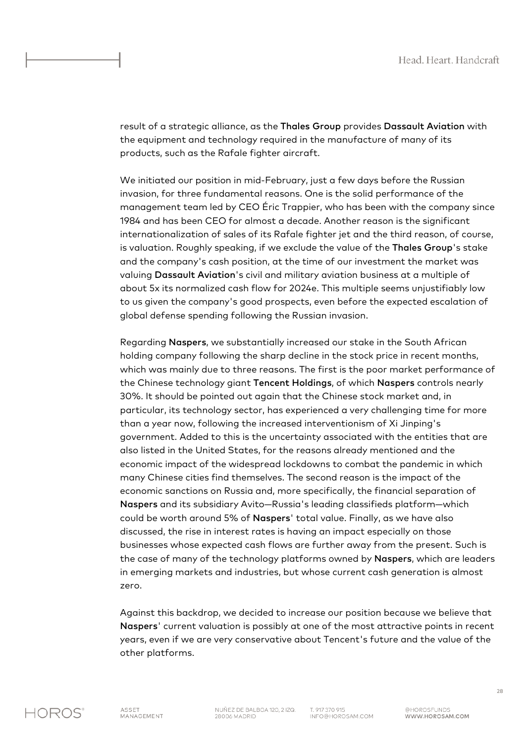result of a strategic alliance, as the Thales Group provides Dassault Aviation with the equipment and technology required in the manufacture of many of its products, such as the Rafale fighter aircraft.

We initiated our position in mid-February, just a few days before the Russian invasion, for three fundamental reasons. One is the solid performance of the management team led by CEO Éric Trappier, who has been with the company since 1984 and has been CEO for almost a decade. Another reason is the significant internationalization of sales of its Rafale fighter jet and the third reason, of course, is valuation. Roughly speaking, if we exclude the value of the Thales Group's stake and the company's cash position, at the time of our investment the market was valuing Dassault Aviation's civil and military aviation business at a multiple of about 5x its normalized cash flow for 2024e. This multiple seems unjustifiably low to us given the company's good prospects, even before the expected escalation of global defense spending following the Russian invasion.

Regarding Naspers, we substantially increased our stake in the South African holding company following the sharp decline in the stock price in recent months, which was mainly due to three reasons. The first is the poor market performance of the Chinese technology giant Tencent Holdings, of which Naspers controls nearly 30%. It should be pointed out again that the Chinese stock market and, in particular, its technology sector, has experienced a very challenging time for more than a year now, following the increased interventionism of Xi Jinping's government. Added to this is the uncertainty associated with the entities that are also listed in the United States, for the reasons already mentioned and the economic impact of the widespread lockdowns to combat the pandemic in which many Chinese cities find themselves. The second reason is the impact of the economic sanctions on Russia and, more specifically, the financial separation of Naspers and its subsidiary Avito—Russia's leading classifieds platform—which could be worth around 5% of Naspers' total value. Finally, as we have also discussed, the rise in interest rates is having an impact especially on those businesses whose expected cash flows are further away from the present. Such is the case of many of the technology platforms owned by Naspers, which are leaders in emerging markets and industries, but whose current cash generation is almost zero.

Against this backdrop, we decided to increase our position because we believe that Naspers' current valuation is possibly at one of the most attractive points in recent years, even if we are very conservative about Tencent's future and the value of the other platforms.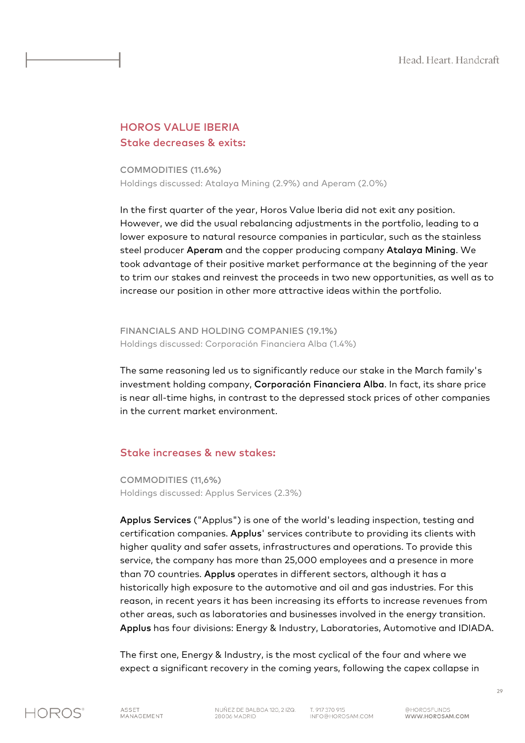## HOROS VALUE IBERIA Stake decreases & exits:

COMMODITIES (11.6%) Holdings discussed: Atalaya Mining (2.9%) and Aperam (2.0%)

In the first quarter of the year, Horos Value Iberia did not exit any position. However, we did the usual rebalancing adjustments in the portfolio, leading to a lower exposure to natural resource companies in particular, such as the stainless steel producer Aperam and the copper producing company Atalaya Mining. We took advantage of their positive market performance at the beginning of the year to trim our stakes and reinvest the proceeds in two new opportunities, as well as to increase our position in other more attractive ideas within the portfolio.

FINANCIALS AND HOLDING COMPANIES (19.1%) Holdings discussed: Corporación Financiera Alba (1.4%)

The same reasoning led us to significantly reduce our stake in the March family's investment holding company, Corporación Financiera Alba. In fact, its share price is near all-time highs, in contrast to the depressed stock prices of other companies in the current market environment.

#### Stake increases & new stakes:

COMMODITIES (11,6%) Holdings discussed: Applus Services (2.3%)

Applus Services ("Applus") is one of the world's leading inspection, testing and certification companies. Applus' services contribute to providing its clients with higher quality and safer assets, infrastructures and operations. To provide this service, the company has more than 25,000 employees and a presence in more than 70 countries. Applus operates in different sectors, although it has a historically high exposure to the automotive and oil and gas industries. For this reason, in recent years it has been increasing its efforts to increase revenues from other areas, such as laboratories and businesses involved in the energy transition. Applus has four divisions: Energy & Industry, Laboratories, Automotive and IDIADA.

The first one, Energy & Industry, is the most cyclical of the four and where we expect a significant recovery in the coming years, following the capex collapse in

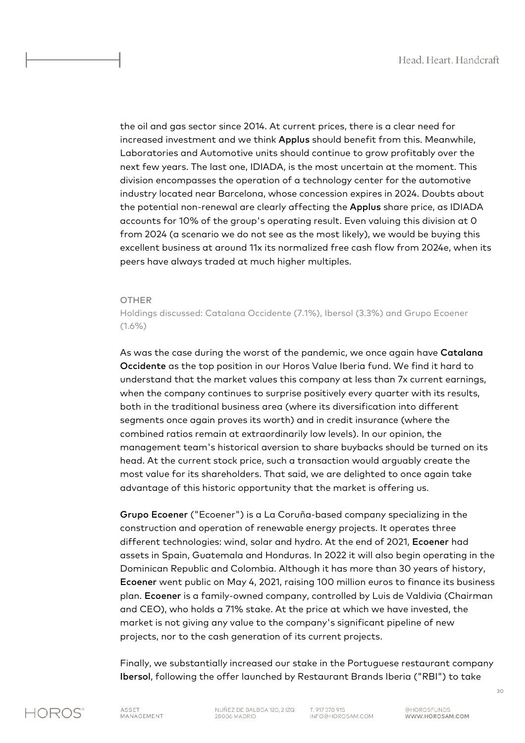the oil and gas sector since 2014. At current prices, there is a clear need for increased investment and we think Applus should benefit from this. Meanwhile, Laboratories and Automotive units should continue to grow profitably over the next few years. The last one, IDIADA, is the most uncertain at the moment. This division encompasses the operation of a technology center for the automotive industry located near Barcelona, whose concession expires in 2024. Doubts about the potential non-renewal are clearly affecting the Applus share price, as IDIADA accounts for 10% of the group's operating result. Even valuing this division at 0 from 2024 (a scenario we do not see as the most likely), we would be buying this excellent business at around 11x its normalized free cash flow from 2024e, when its peers have always traded at much higher multiples.

#### **OTHER**

Holdings discussed: Catalana Occidente (7.1%), Ibersol (3.3%) and Grupo Ecoener  $(1.6\%)$ 

As was the case during the worst of the pandemic, we once again have Catalana Occidente as the top position in our Horos Value Iberia fund. We find it hard to understand that the market values this company at less than 7x current earnings, when the company continues to surprise positively every quarter with its results, both in the traditional business area (where its diversification into different segments once again proves its worth) and in credit insurance (where the combined ratios remain at extraordinarily low levels). In our opinion, the management team's historical aversion to share buybacks should be turned on its head. At the current stock price, such a transaction would arguably create the most value for its shareholders. That said, we are delighted to once again take advantage of this historic opportunity that the market is offering us.

Grupo Ecoener ("Ecoener") is a La Coruña-based company specializing in the construction and operation of renewable energy projects. It operates three different technologies: wind, solar and hydro. At the end of 2021, Ecoener had assets in Spain, Guatemala and Honduras. In 2022 it will also begin operating in the Dominican Republic and Colombia. Although it has more than 30 years of history, Ecoener went public on May 4, 2021, raising 100 million euros to finance its business plan. Ecoener is a family-owned company, controlled by Luis de Valdivia (Chairman and CEO), who holds a 71% stake. At the price at which we have invested, the market is not giving any value to the company's significant pipeline of new projects, nor to the cash generation of its current projects.

Finally, we substantially increased our stake in the Portuguese restaurant company Ibersol, following the offer launched by Restaurant Brands Iberia ("RBI") to take

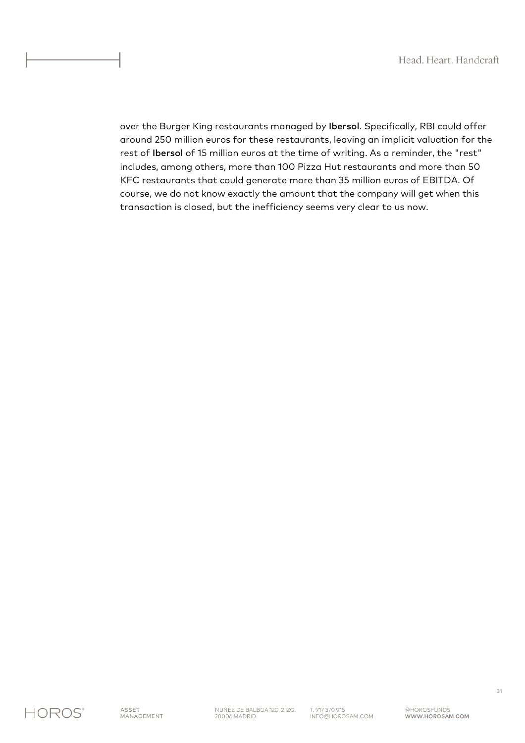over the Burger King restaurants managed by Ibersol. Specifically, RBI could offer around 250 million euros for these restaurants, leaving an implicit valuation for the rest of Ibersol of 15 million euros at the time of writing. As a reminder, the "rest" includes, among others, more than 100 Pizza Hut restaurants and more than 50 KFC restaurants that could generate more than 35 million euros of EBITDA. Of course, we do not know exactly the amount that the company will get when this transaction is closed, but the inefficiency seems very clear to us now.

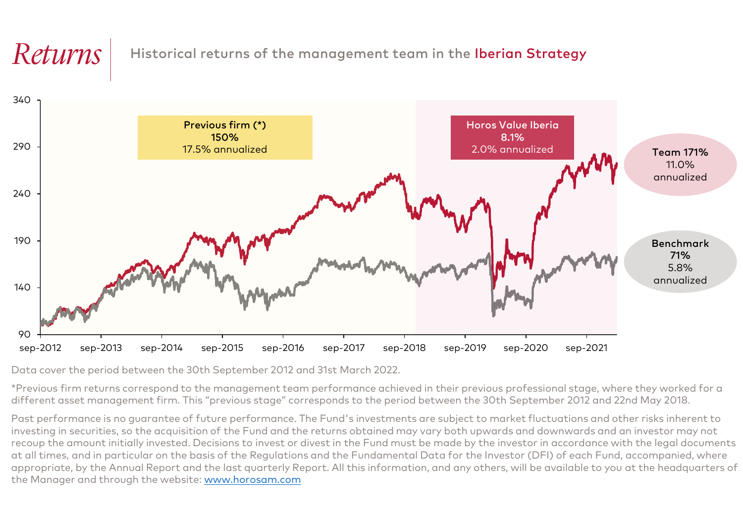## $\mathit{REturns}$  Historical returns of the management team in the Iberian Strategy



Data cover the period between the 30th September 2012 and 31st March 2022.

\*Previous firm returns correspond to the management team performance achieved in their previous professional stage, where they worked for a different asset management firm. This "previous stage" corresponds to the period between the 30th September 2012 and 22nd May 2018.

Past performance is no guarantee of future performance. The Fund's investments are subject to market fluctuations and other risks inherent to investing in securities, so the acquisition of the Fund and the returns obtained may vary both upwards and downwards and an investor may not recoup the amount initially invested. Decisions to invest or divest in the Fund must be made by the investor in accordance with the legal documents at all times, and in particular on the basis of the Regulations and the Fundamental Data for the Investor (DFI) of each Fund, accompanied, where appropriate, by the Annual Report and the last quarterly Report. All this information, and any others, will be available to you at the headquarters of the Manager and through the website: www.horosam.com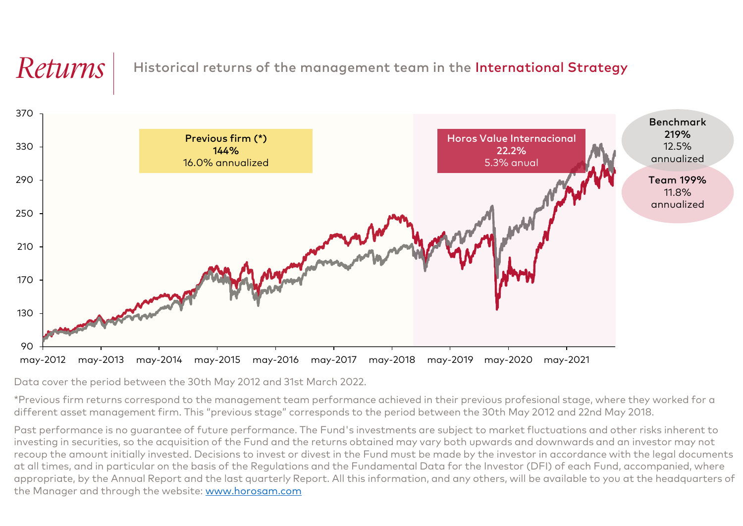## $\mathit{Returns} \mid$  Historical returns of the management team in the International Strategy



Data cover the period between the 30th May 2012 and 31st March 2022.

\*Previous firm returns correspond to the management team performance achieved in their previous profesional stage, where they worked for a different asset management firm. This "previous stage" corresponds to the period between the 30th May 2012 and 22nd May 2018.

Past performance is no guarantee of future performance. The Fund's investments are subject to market fluctuations and other risks inherent to investing in securities, so the acquisition of the Fund and the returns obtained may vary both upwards and downwards and an investor may not recoup the amount initially invested. Decisions to invest or divest in the Fund must be made by the investor in accordance with the legal documents at all times, and in particular on the basis of the Regulations and the Fundamental Data for the Investor (DFI) of each Fund, accompanied, where appropriate, by the Annual Report and the last quarterly Report. All this information, and any others, will be available to you at the headquarters of the Manager and through the website: www.horosam.com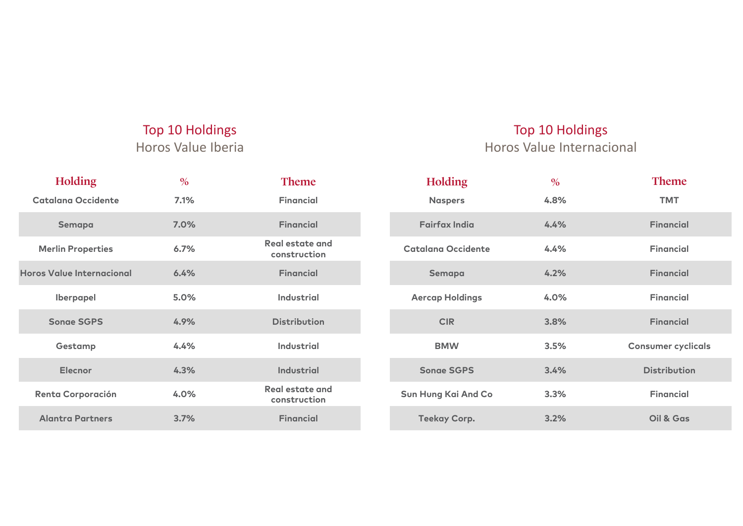## Top 10 Holdings Horos Value Iberia

## Top 10 Holdings

Horos Value Internacional

| <b>Holding</b>            | $\frac{0}{0}$ | <b>Theme</b>                    | <b>Holding</b>            | $\frac{0}{0}$ | <b>Theme</b>              |
|---------------------------|---------------|---------------------------------|---------------------------|---------------|---------------------------|
| Catalana Occidente        | 7.1%          | <b>Financial</b>                | <b>Naspers</b>            | 4.8%          | <b>TMT</b>                |
| Semapa                    | 7.0%          | <b>Financial</b>                | <b>Fairfax India</b>      | 4.4%          | <b>Financial</b>          |
| <b>Merlin Properties</b>  | 6.7%          | Real estate and<br>construction | <b>Catalana Occidente</b> | 4.4%          | <b>Financial</b>          |
| Horos Value Internacional | 6.4%          | <b>Financial</b>                | Semapa                    | 4.2%          | <b>Financial</b>          |
| <b>Iberpapel</b>          | 5.0%          | <b>Industrial</b>               | <b>Aercap Holdings</b>    | 4.0%          | <b>Financial</b>          |
| <b>Songe SGPS</b>         | 4.9%          | <b>Distribution</b>             | <b>CIR</b>                | 3.8%          | <b>Financial</b>          |
| Gestamp                   | 4.4%          | <b>Industrial</b>               | <b>BMW</b>                | 3.5%          | <b>Consumer cyclicals</b> |
| <b>Elecnor</b>            | 4.3%          | <b>Industrial</b>               | <b>Songe SGPS</b>         | 3.4%          | <b>Distribution</b>       |
| <b>Renta Corporación</b>  | 4.0%          | Real estate and<br>construction | Sun Hung Kai And Co       | 3.3%          | <b>Financial</b>          |
| <b>Alantra Partners</b>   | 3.7%          | <b>Financial</b>                | <b>Teekay Corp.</b>       | 3.2%          | Oil & Gas                 |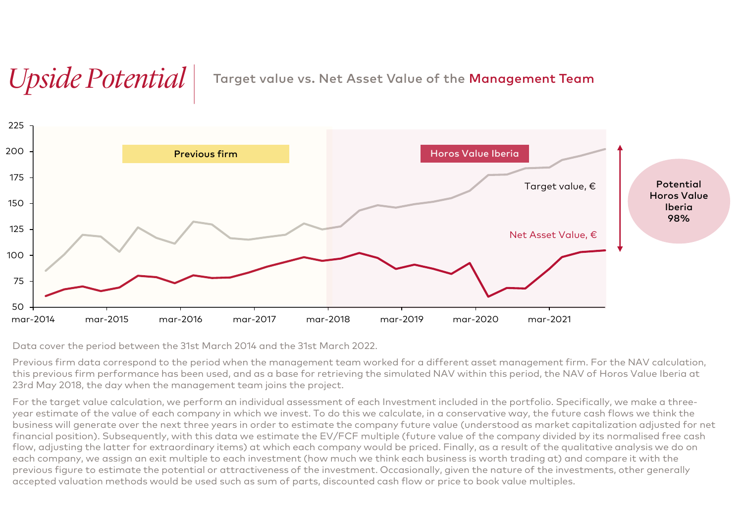# *Upside Potential* Target value vs. Net Asset Value of the Management Team



Data cover the period between the 31st March 2014 and the 31st March 2022.

Previous firm data correspond to the period when the management team worked for a different asset management firm. For the NAV calculation, this previous firm performance has been used, and as a base for retrieving the simulated NAV within this period, the NAV of Horos Value Iberia at 23rd May 2018, the day when the management team joins the project.

For the target value calculation, we perform an individual assessment of each Investment included in the portfolio. Specifically, we make a threeyear estimate of the value of each company in which we invest. To do this we calculate, in a conservative way, the future cash flows we think the business will generate over the next three years in order to estimate the company future value (understood as market capitalization adjusted for net financial position). Subsequently, with this data we estimate the EV/FCF multiple (future value of the company divided by its normalised free cash flow, adjusting the latter for extraordinary items) at which each company would be priced. Finally, as a result of the qualitative analysis we do on each company, we assign an exit multiple to each investment (how much we think each business is worth trading at) and compare it with the previous figure to estimate the potential or attractiveness of the investment. Occasionally, given the nature of the investments, other generally accepted valuation methods would be used such as sum of parts, discounted cash flow or price to book value multiples.